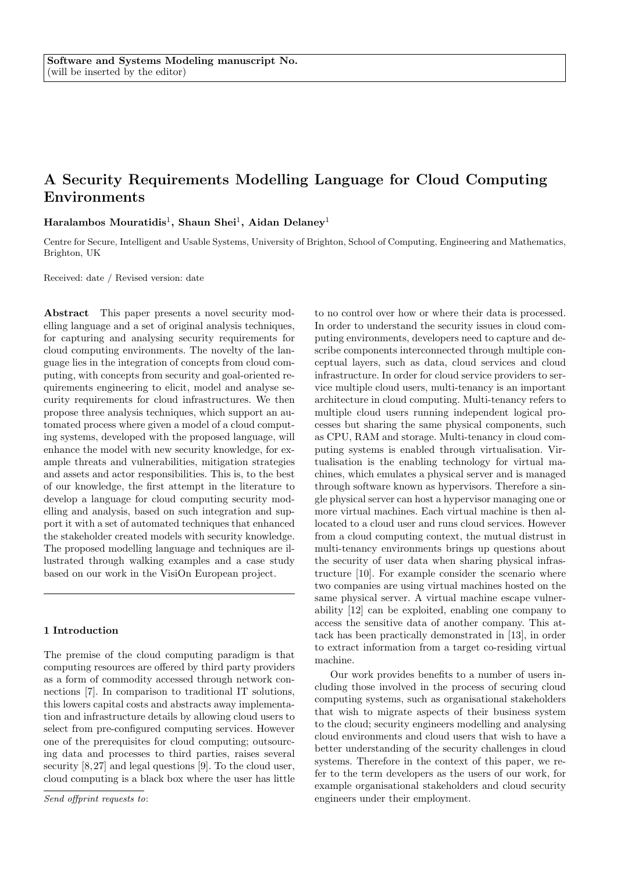# A Security Requirements Modelling Language for Cloud Computing Environments

Haralambos Mouratidis $^1,$  Shaun Shei $^1,$  Aidan Delaney $^1$ 

Centre for Secure, Intelligent and Usable Systems, University of Brighton, School of Computing, Engineering and Mathematics, Brighton, UK

Received: date / Revised version: date

Abstract This paper presents a novel security modelling language and a set of original analysis techniques, for capturing and analysing security requirements for cloud computing environments. The novelty of the language lies in the integration of concepts from cloud computing, with concepts from security and goal-oriented requirements engineering to elicit, model and analyse security requirements for cloud infrastructures. We then propose three analysis techniques, which support an automated process where given a model of a cloud computing systems, developed with the proposed language, will enhance the model with new security knowledge, for example threats and vulnerabilities, mitigation strategies and assets and actor responsibilities. This is, to the best of our knowledge, the first attempt in the literature to develop a language for cloud computing security modelling and analysis, based on such integration and support it with a set of automated techniques that enhanced the stakeholder created models with security knowledge. The proposed modelling language and techniques are illustrated through walking examples and a case study based on our work in the VisiOn European project.

## 1 Introduction

The premise of the cloud computing paradigm is that computing resources are offered by third party providers as a form of commodity accessed through network connections [7]. In comparison to traditional IT solutions, this lowers capital costs and abstracts away implementation and infrastructure details by allowing cloud users to select from pre-configured computing services. However one of the prerequisites for cloud computing; outsourcing data and processes to third parties, raises several security  $[8, 27]$  and legal questions  $[9]$ . To the cloud user, cloud computing is a black box where the user has little to no control over how or where their data is processed. In order to understand the security issues in cloud computing environments, developers need to capture and describe components interconnected through multiple conceptual layers, such as data, cloud services and cloud infrastructure. In order for cloud service providers to service multiple cloud users, multi-tenancy is an important architecture in cloud computing. Multi-tenancy refers to multiple cloud users running independent logical processes but sharing the same physical components, such as CPU, RAM and storage. Multi-tenancy in cloud computing systems is enabled through virtualisation. Virtualisation is the enabling technology for virtual machines, which emulates a physical server and is managed through software known as hypervisors. Therefore a single physical server can host a hypervisor managing one or more virtual machines. Each virtual machine is then allocated to a cloud user and runs cloud services. However from a cloud computing context, the mutual distrust in multi-tenancy environments brings up questions about the security of user data when sharing physical infrastructure [10]. For example consider the scenario where two companies are using virtual machines hosted on the same physical server. A virtual machine escape vulnerability [12] can be exploited, enabling one company to access the sensitive data of another company. This attack has been practically demonstrated in [13], in order to extract information from a target co-residing virtual machine.

Our work provides benefits to a number of users including those involved in the process of securing cloud computing systems, such as organisational stakeholders that wish to migrate aspects of their business system to the cloud; security engineers modelling and analysing cloud environments and cloud users that wish to have a better understanding of the security challenges in cloud systems. Therefore in the context of this paper, we refer to the term developers as the users of our work, for example organisational stakeholders and cloud security engineers under their employment.

Send offprint requests to: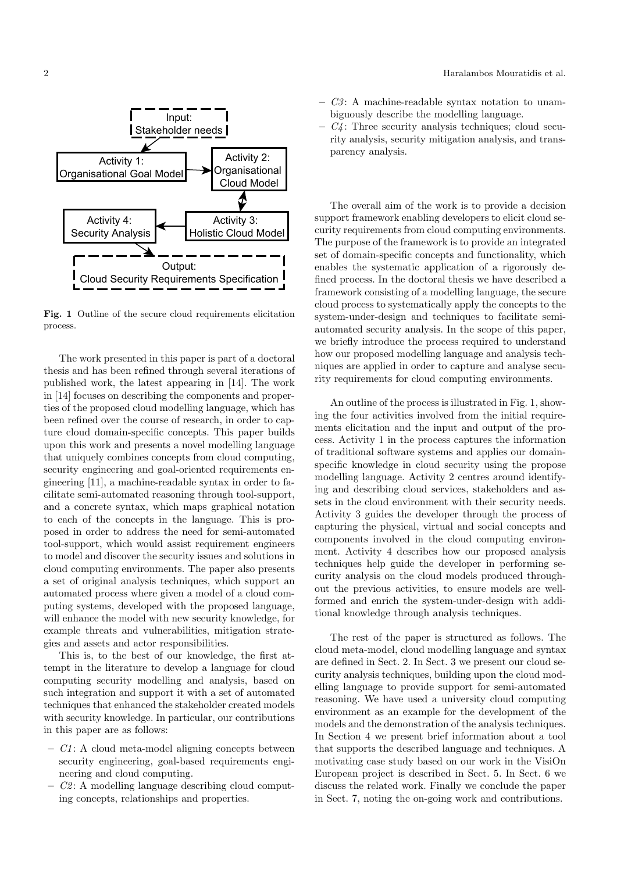

Fig. 1 Outline of the secure cloud requirements elicitation process.

The work presented in this paper is part of a doctoral thesis and has been refined through several iterations of published work, the latest appearing in [14]. The work in [14] focuses on describing the components and properties of the proposed cloud modelling language, which has been refined over the course of research, in order to capture cloud domain-specific concepts. This paper builds upon this work and presents a novel modelling language that uniquely combines concepts from cloud computing, security engineering and goal-oriented requirements engineering [11], a machine-readable syntax in order to facilitate semi-automated reasoning through tool-support, and a concrete syntax, which maps graphical notation to each of the concepts in the language. This is proposed in order to address the need for semi-automated tool-support, which would assist requirement engineers to model and discover the security issues and solutions in cloud computing environments. The paper also presents a set of original analysis techniques, which support an automated process where given a model of a cloud computing systems, developed with the proposed language, will enhance the model with new security knowledge, for example threats and vulnerabilities, mitigation strategies and assets and actor responsibilities.

This is, to the best of our knowledge, the first attempt in the literature to develop a language for cloud computing security modelling and analysis, based on such integration and support it with a set of automated techniques that enhanced the stakeholder created models with security knowledge. In particular, our contributions in this paper are as follows:

- $-CI: A$  cloud meta-model aligning concepts between security engineering, goal-based requirements engineering and cloud computing.
- $C2$ : A modelling language describing cloud computing concepts, relationships and properties.
- $C3$ : A machine-readable syntax notation to unambiguously describe the modelling language.
- $C_4$ : Three security analysis techniques; cloud security analysis, security mitigation analysis, and transparency analysis.

The overall aim of the work is to provide a decision support framework enabling developers to elicit cloud security requirements from cloud computing environments. The purpose of the framework is to provide an integrated set of domain-specific concepts and functionality, which enables the systematic application of a rigorously defined process. In the doctoral thesis we have described a framework consisting of a modelling language, the secure cloud process to systematically apply the concepts to the system-under-design and techniques to facilitate semiautomated security analysis. In the scope of this paper, we briefly introduce the process required to understand how our proposed modelling language and analysis techniques are applied in order to capture and analyse security requirements for cloud computing environments.

An outline of the process is illustrated in Fig. 1, showing the four activities involved from the initial requirements elicitation and the input and output of the process. Activity 1 in the process captures the information of traditional software systems and applies our domainspecific knowledge in cloud security using the propose modelling language. Activity 2 centres around identifying and describing cloud services, stakeholders and assets in the cloud environment with their security needs. Activity 3 guides the developer through the process of capturing the physical, virtual and social concepts and components involved in the cloud computing environment. Activity 4 describes how our proposed analysis techniques help guide the developer in performing security analysis on the cloud models produced throughout the previous activities, to ensure models are wellformed and enrich the system-under-design with additional knowledge through analysis techniques.

The rest of the paper is structured as follows. The cloud meta-model, cloud modelling language and syntax are defined in Sect. 2. In Sect. 3 we present our cloud security analysis techniques, building upon the cloud modelling language to provide support for semi-automated reasoning. We have used a university cloud computing environment as an example for the development of the models and the demonstration of the analysis techniques. In Section 4 we present brief information about a tool that supports the described language and techniques. A motivating case study based on our work in the VisiOn European project is described in Sect. 5. In Sect. 6 we discuss the related work. Finally we conclude the paper in Sect. 7, noting the on-going work and contributions.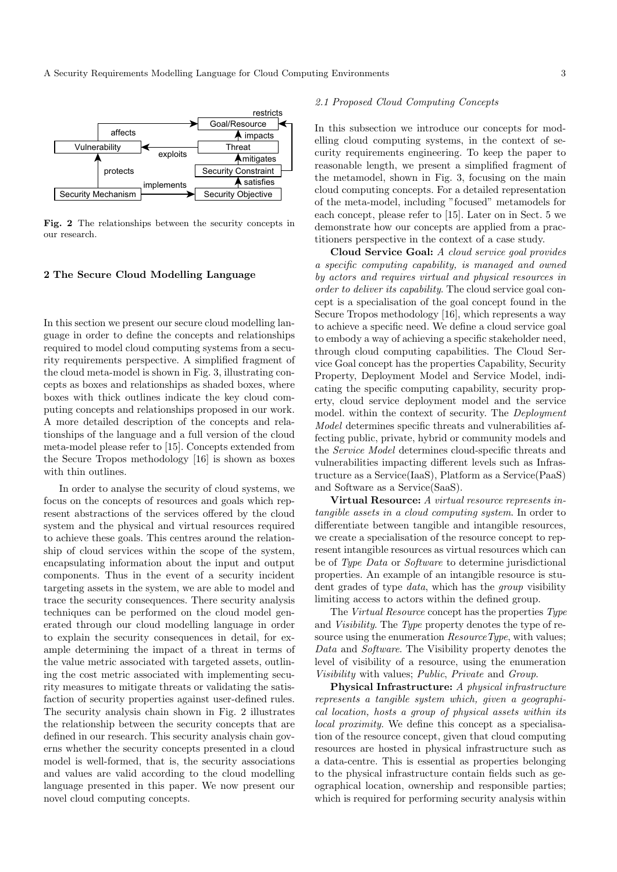

Fig. 2 The relationships between the security concepts in our research.

#### 2 The Secure Cloud Modelling Language

In this section we present our secure cloud modelling language in order to define the concepts and relationships required to model cloud computing systems from a security requirements perspective. A simplified fragment of the cloud meta-model is shown in Fig. 3, illustrating concepts as boxes and relationships as shaded boxes, where boxes with thick outlines indicate the key cloud computing concepts and relationships proposed in our work. A more detailed description of the concepts and relationships of the language and a full version of the cloud meta-model please refer to [15]. Concepts extended from the Secure Tropos methodology [16] is shown as boxes with thin outlines.

In order to analyse the security of cloud systems, we focus on the concepts of resources and goals which represent abstractions of the services offered by the cloud system and the physical and virtual resources required to achieve these goals. This centres around the relationship of cloud services within the scope of the system, encapsulating information about the input and output components. Thus in the event of a security incident targeting assets in the system, we are able to model and trace the security consequences. There security analysis techniques can be performed on the cloud model generated through our cloud modelling language in order to explain the security consequences in detail, for example determining the impact of a threat in terms of the value metric associated with targeted assets, outlining the cost metric associated with implementing security measures to mitigate threats or validating the satisfaction of security properties against user-defined rules. The security analysis chain shown in Fig. 2 illustrates the relationship between the security concepts that are defined in our research. This security analysis chain governs whether the security concepts presented in a cloud model is well-formed, that is, the security associations and values are valid according to the cloud modelling language presented in this paper. We now present our novel cloud computing concepts.

# 2.1 Proposed Cloud Computing Concepts

In this subsection we introduce our concepts for modelling cloud computing systems, in the context of security requirements engineering. To keep the paper to reasonable length, we present a simplified fragment of the metamodel, shown in Fig. 3, focusing on the main cloud computing concepts. For a detailed representation of the meta-model, including "focused" metamodels for each concept, please refer to [15]. Later on in Sect. 5 we demonstrate how our concepts are applied from a practitioners perspective in the context of a case study.

Cloud Service Goal: A cloud service goal provides a specific computing capability, is managed and owned by actors and requires virtual and physical resources in order to deliver its capability. The cloud service goal concept is a specialisation of the goal concept found in the Secure Tropos methodology [16], which represents a way to achieve a specific need. We define a cloud service goal to embody a way of achieving a specific stakeholder need, through cloud computing capabilities. The Cloud Service Goal concept has the properties Capability, Security Property, Deployment Model and Service Model, indicating the specific computing capability, security property, cloud service deployment model and the service model. within the context of security. The Deployment Model determines specific threats and vulnerabilities affecting public, private, hybrid or community models and the Service Model determines cloud-specific threats and vulnerabilities impacting different levels such as Infrastructure as a Service(IaaS), Platform as a Service(PaaS) and Software as a Service(SaaS).

Virtual Resource: A virtual resource represents intangible assets in a cloud computing system. In order to differentiate between tangible and intangible resources, we create a specialisation of the resource concept to represent intangible resources as virtual resources which can be of Type Data or Software to determine jurisdictional properties. An example of an intangible resource is student grades of type *data*, which has the *group* visibility limiting access to actors within the defined group.

The Virtual Resource concept has the properties Type and Visibility. The Type property denotes the type of resource using the enumeration *ResourceType*, with values; Data and Software. The Visibility property denotes the level of visibility of a resource, using the enumeration Visibility with values; Public, Private and Group.

Physical Infrastructure: A physical infrastructure represents a tangible system which, given a geographical location, hosts a group of physical assets within its local proximity. We define this concept as a specialisation of the resource concept, given that cloud computing resources are hosted in physical infrastructure such as a data-centre. This is essential as properties belonging to the physical infrastructure contain fields such as geographical location, ownership and responsible parties; which is required for performing security analysis within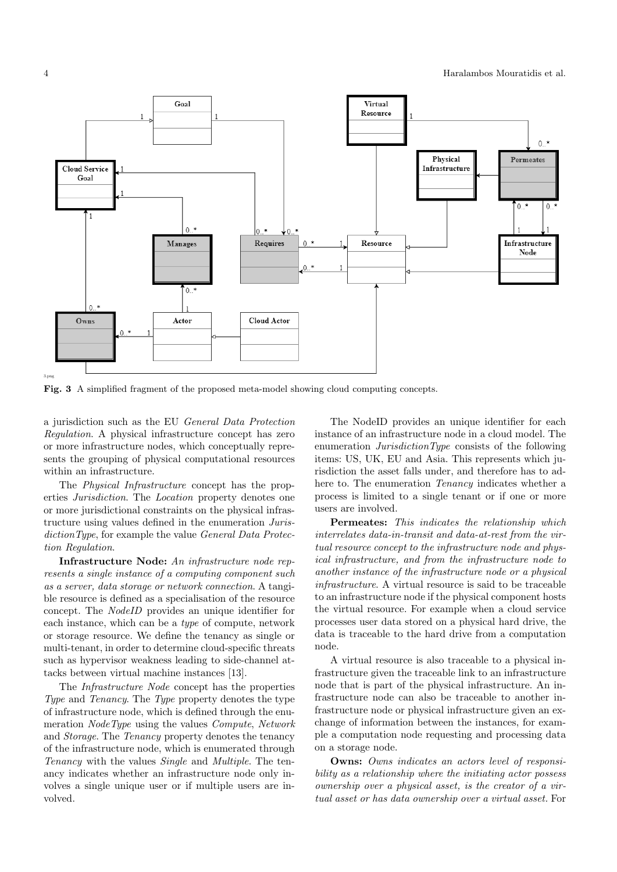

Fig. 3 A simplified fragment of the proposed meta-model showing cloud computing concepts.

a jurisdiction such as the EU General Data Protection Regulation. A physical infrastructure concept has zero or more infrastructure nodes, which conceptually represents the grouping of physical computational resources within an infrastructure.

The *Physical Infrastructure* concept has the properties Jurisdiction. The Location property denotes one or more jurisdictional constraints on the physical infrastructure using values defined in the enumeration JurisdictionType, for example the value General Data Protection Regulation.

Infrastructure Node: An infrastructure node represents a single instance of a computing component such as a server, data storage or network connection. A tangible resource is defined as a specialisation of the resource concept. The NodeID provides an unique identifier for each instance, which can be a type of compute, network or storage resource. We define the tenancy as single or multi-tenant, in order to determine cloud-specific threats such as hypervisor weakness leading to side-channel attacks between virtual machine instances [13].

The Infrastructure Node concept has the properties Type and Tenancy. The Type property denotes the type of infrastructure node, which is defined through the enumeration NodeType using the values Compute, Network and Storage. The Tenancy property denotes the tenancy of the infrastructure node, which is enumerated through Tenancy with the values Single and Multiple. The tenancy indicates whether an infrastructure node only involves a single unique user or if multiple users are involved.

The NodeID provides an unique identifier for each instance of an infrastructure node in a cloud model. The enumeration JurisdictionType consists of the following items: US, UK, EU and Asia. This represents which jurisdiction the asset falls under, and therefore has to adhere to. The enumeration *Tenancy* indicates whether a process is limited to a single tenant or if one or more users are involved.

Permeates: This indicates the relationship which interrelates data-in-transit and data-at-rest from the virtual resource concept to the infrastructure node and physical infrastructure, and from the infrastructure node to another instance of the infrastructure node or a physical infrastructure. A virtual resource is said to be traceable to an infrastructure node if the physical component hosts the virtual resource. For example when a cloud service processes user data stored on a physical hard drive, the data is traceable to the hard drive from a computation node.

A virtual resource is also traceable to a physical infrastructure given the traceable link to an infrastructure node that is part of the physical infrastructure. An infrastructure node can also be traceable to another infrastructure node or physical infrastructure given an exchange of information between the instances, for example a computation node requesting and processing data on a storage node.

Owns: Owns indicates an actors level of responsibility as a relationship where the initiating actor possess ownership over a physical asset, is the creator of a virtual asset or has data ownership over a virtual asset. For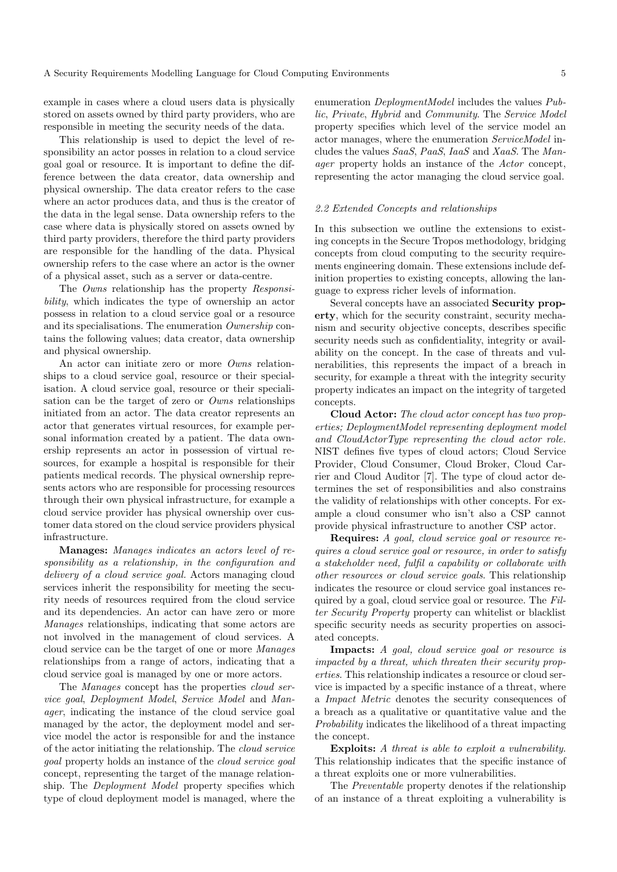example in cases where a cloud users data is physically stored on assets owned by third party providers, who are responsible in meeting the security needs of the data.

This relationship is used to depict the level of responsibility an actor posses in relation to a cloud service goal goal or resource. It is important to define the difference between the data creator, data ownership and physical ownership. The data creator refers to the case where an actor produces data, and thus is the creator of the data in the legal sense. Data ownership refers to the case where data is physically stored on assets owned by third party providers, therefore the third party providers are responsible for the handling of the data. Physical ownership refers to the case where an actor is the owner of a physical asset, such as a server or data-centre.

The Owns relationship has the property Responsibility, which indicates the type of ownership an actor possess in relation to a cloud service goal or a resource and its specialisations. The enumeration Ownership contains the following values; data creator, data ownership and physical ownership.

An actor can initiate zero or more Owns relationships to a cloud service goal, resource or their specialisation. A cloud service goal, resource or their specialisation can be the target of zero or Owns relationships initiated from an actor. The data creator represents an actor that generates virtual resources, for example personal information created by a patient. The data ownership represents an actor in possession of virtual resources, for example a hospital is responsible for their patients medical records. The physical ownership represents actors who are responsible for processing resources through their own physical infrastructure, for example a cloud service provider has physical ownership over customer data stored on the cloud service providers physical infrastructure.

Manages: Manages indicates an actors level of responsibility as a relationship, in the configuration and delivery of a cloud service goal. Actors managing cloud services inherit the responsibility for meeting the security needs of resources required from the cloud service and its dependencies. An actor can have zero or more Manages relationships, indicating that some actors are not involved in the management of cloud services. A cloud service can be the target of one or more Manages relationships from a range of actors, indicating that a cloud service goal is managed by one or more actors.

The Manages concept has the properties cloud service goal, Deployment Model, Service Model and Manager, indicating the instance of the cloud service goal managed by the actor, the deployment model and service model the actor is responsible for and the instance of the actor initiating the relationship. The cloud service goal property holds an instance of the cloud service goal concept, representing the target of the manage relationship. The Deployment Model property specifies which type of cloud deployment model is managed, where the enumeration DeploymentModel includes the values Public, Private, Hybrid and Community. The Service Model property specifies which level of the service model an actor manages, where the enumeration ServiceModel includes the values SaaS, PaaS, IaaS and XaaS. The Manager property holds an instance of the Actor concept, representing the actor managing the cloud service goal.

#### 2.2 Extended Concepts and relationships

In this subsection we outline the extensions to existing concepts in the Secure Tropos methodology, bridging concepts from cloud computing to the security requirements engineering domain. These extensions include definition properties to existing concepts, allowing the language to express richer levels of information.

Several concepts have an associated Security property, which for the security constraint, security mechanism and security objective concepts, describes specific security needs such as confidentiality, integrity or availability on the concept. In the case of threats and vulnerabilities, this represents the impact of a breach in security, for example a threat with the integrity security property indicates an impact on the integrity of targeted concepts.

Cloud Actor: The cloud actor concept has two properties; DeploymentModel representing deployment model and CloudActorType representing the cloud actor role. NIST defines five types of cloud actors; Cloud Service Provider, Cloud Consumer, Cloud Broker, Cloud Carrier and Cloud Auditor [7]. The type of cloud actor determines the set of responsibilities and also constrains the validity of relationships with other concepts. For example a cloud consumer who isn't also a CSP cannot provide physical infrastructure to another CSP actor.

Requires: A goal, cloud service goal or resource requires a cloud service goal or resource, in order to satisfy a stakeholder need, fulfil a capability or collaborate with other resources or cloud service goals. This relationship indicates the resource or cloud service goal instances required by a goal, cloud service goal or resource. The Filter Security Property property can whitelist or blacklist specific security needs as security properties on associated concepts.

Impacts: A goal, cloud service goal or resource is impacted by a threat, which threaten their security properties. This relationship indicates a resource or cloud service is impacted by a specific instance of a threat, where a Impact Metric denotes the security consequences of a breach as a qualitative or quantitative value and the Probability indicates the likelihood of a threat impacting the concept.

Exploits: A threat is able to exploit a vulnerability. This relationship indicates that the specific instance of a threat exploits one or more vulnerabilities.

The Preventable property denotes if the relationship of an instance of a threat exploiting a vulnerability is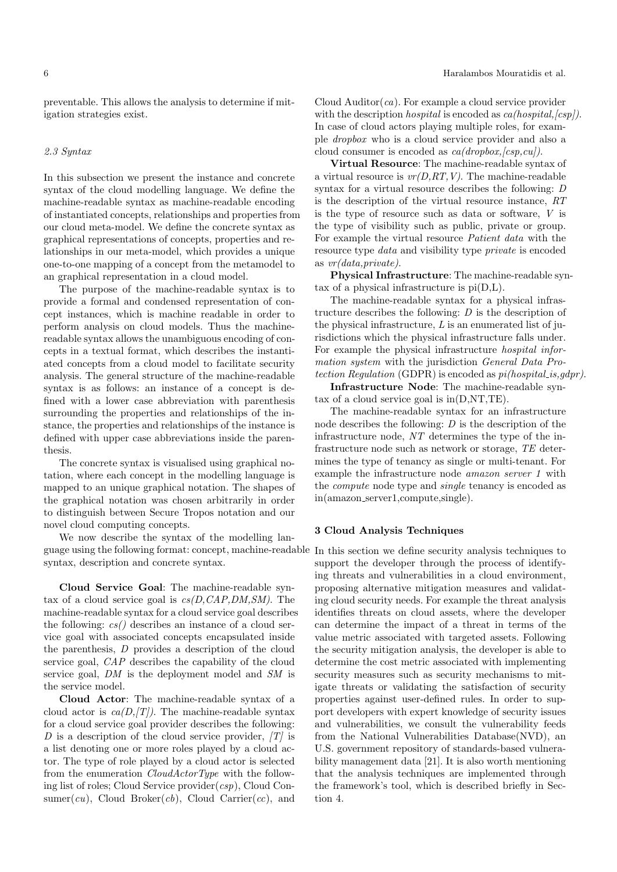preventable. This allows the analysis to determine if mitigation strategies exist.

# 2.3 Syntax

In this subsection we present the instance and concrete syntax of the cloud modelling language. We define the machine-readable syntax as machine-readable encoding of instantiated concepts, relationships and properties from our cloud meta-model. We define the concrete syntax as graphical representations of concepts, properties and relationships in our meta-model, which provides a unique one-to-one mapping of a concept from the metamodel to an graphical representation in a cloud model.

The purpose of the machine-readable syntax is to provide a formal and condensed representation of concept instances, which is machine readable in order to perform analysis on cloud models. Thus the machinereadable syntax allows the unambiguous encoding of concepts in a textual format, which describes the instantiated concepts from a cloud model to facilitate security analysis. The general structure of the machine-readable syntax is as follows: an instance of a concept is defined with a lower case abbreviation with parenthesis surrounding the properties and relationships of the instance, the properties and relationships of the instance is defined with upper case abbreviations inside the parenthesis.

The concrete syntax is visualised using graphical notation, where each concept in the modelling language is mapped to an unique graphical notation. The shapes of the graphical notation was chosen arbitrarily in order to distinguish between Secure Tropos notation and our novel cloud computing concepts.

We now describe the syntax of the modelling language using the following format: concept, machine-readable In this section we define security analysis techniques to syntax, description and concrete syntax.

Cloud Service Goal: The machine-readable syntax of a cloud service goal is  $cs(D, CAP, DM, SM)$ . The machine-readable syntax for a cloud service goal describes the following:  $cs()$  describes an instance of a cloud service goal with associated concepts encapsulated inside the parenthesis, D provides a description of the cloud service goal, CAP describes the capability of the cloud service goal, DM is the deployment model and SM is the service model.

Cloud Actor: The machine-readable syntax of a cloud actor is  $ca(D,|T|)$ . The machine-readable syntax for a cloud service goal provider describes the following: D is a description of the cloud service provider,  $|T|$  is a list denoting one or more roles played by a cloud actor. The type of role played by a cloud actor is selected from the enumeration CloudActorType with the following list of roles; Cloud Service provider $(csp)$ , Cloud Consumer(cu), Cloud Broker(cb), Cloud Carrier(cc), and Cloud Auditor $(ca)$ . For example a cloud service provider with the description *hospital* is encoded as  $ca(hospital, [csp])$ . In case of cloud actors playing multiple roles, for example dropbox who is a cloud service provider and also a cloud consumer is encoded as  $ca(dropbox,[csp,cu]).$ 

Virtual Resource: The machine-readable syntax of a virtual resource is  $vr(D, RT, V)$ . The machine-readable syntax for a virtual resource describes the following: D is the description of the virtual resource instance, RT is the type of resource such as data or software, V is the type of visibility such as public, private or group. For example the virtual resource Patient data with the resource type *data* and visibility type *private* is encoded as vr(data,private).

Physical Infrastructure: The machine-readable syntax of a physical infrastructure is pi(D,L).

The machine-readable syntax for a physical infrastructure describes the following:  $D$  is the description of the physical infrastructure,  $L$  is an enumerated list of jurisdictions which the physical infrastructure falls under. For example the physical infrastructure hospital information system with the jurisdiction General Data Protection Regulation (GDPR) is encoded as  $pi(hospital_is, qdpr)$ .

Infrastructure Node: The machine-readable syntax of a cloud service goal is  $in(D, NT, TE)$ .

The machine-readable syntax for an infrastructure node describes the following:  $D$  is the description of the infrastructure node, NT determines the type of the infrastructure node such as network or storage, TE determines the type of tenancy as single or multi-tenant. For example the infrastructure node amazon server 1 with the compute node type and single tenancy is encoded as in(amazon server1,compute,single).

## 3 Cloud Analysis Techniques

support the developer through the process of identifying threats and vulnerabilities in a cloud environment, proposing alternative mitigation measures and validating cloud security needs. For example the threat analysis identifies threats on cloud assets, where the developer can determine the impact of a threat in terms of the value metric associated with targeted assets. Following the security mitigation analysis, the developer is able to determine the cost metric associated with implementing security measures such as security mechanisms to mitigate threats or validating the satisfaction of security properties against user-defined rules. In order to support developers with expert knowledge of security issues and vulnerabilities, we consult the vulnerability feeds from the National Vulnerabilities Database(NVD), an U.S. government repository of standards-based vulnerability management data [21]. It is also worth mentioning that the analysis techniques are implemented through the framework's tool, which is described briefly in Section 4.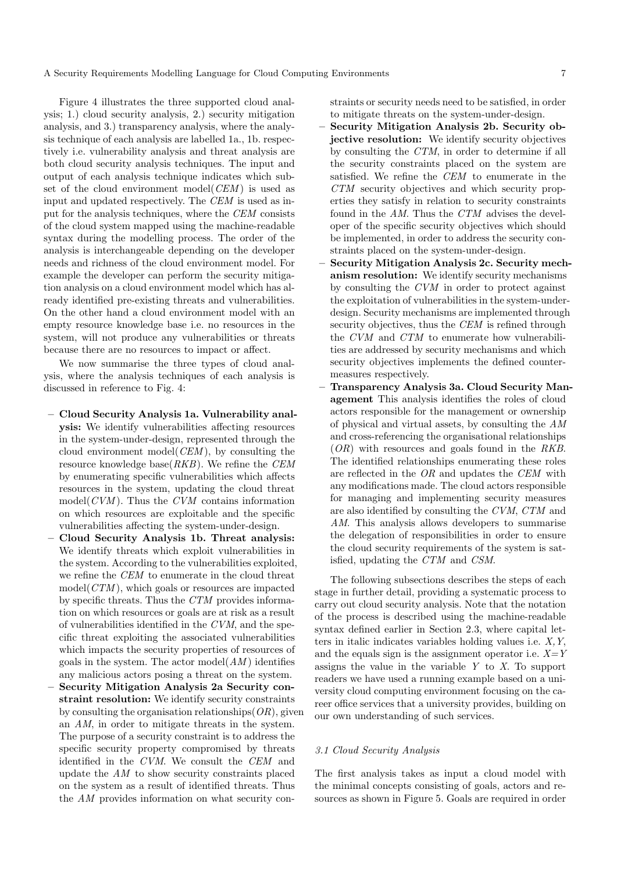A Security Requirements Modelling Language for Cloud Computing Environments 7

Figure 4 illustrates the three supported cloud analysis; 1.) cloud security analysis, 2.) security mitigation analysis, and 3.) transparency analysis, where the analysis technique of each analysis are labelled 1a., 1b. respectively i.e. vulnerability analysis and threat analysis are both cloud security analysis techniques. The input and output of each analysis technique indicates which subset of the cloud environment model(CEM) is used as input and updated respectively. The CEM is used as input for the analysis techniques, where the CEM consists of the cloud system mapped using the machine-readable syntax during the modelling process. The order of the analysis is interchangeable depending on the developer needs and richness of the cloud environment model. For example the developer can perform the security mitigation analysis on a cloud environment model which has already identified pre-existing threats and vulnerabilities. On the other hand a cloud environment model with an empty resource knowledge base i.e. no resources in the system, will not produce any vulnerabilities or threats because there are no resources to impact or affect.

We now summarise the three types of cloud analysis, where the analysis techniques of each analysis is discussed in reference to Fig. 4:

- Cloud Security Analysis 1a. Vulnerability analysis: We identify vulnerabilities affecting resources in the system-under-design, represented through the cloud environment model( $CEM$ ), by consulting the resource knowledge base $(RKB)$ . We refine the CEM by enumerating specific vulnerabilities which affects resources in the system, updating the cloud threat model( $CVM$ ). Thus the  $CVM$  contains information on which resources are exploitable and the specific vulnerabilities affecting the system-under-design.
- Cloud Security Analysis 1b. Threat analysis: We identify threats which exploit vulnerabilities in the system. According to the vulnerabilities exploited, we refine the CEM to enumerate in the cloud threat  $model(CTM)$ , which goals or resources are impacted by specific threats. Thus the CTM provides information on which resources or goals are at risk as a result of vulnerabilities identified in the CVM, and the specific threat exploiting the associated vulnerabilities which impacts the security properties of resources of goals in the system. The actor  $\text{model}(AM)$  identifies any malicious actors posing a threat on the system.
- Security Mitigation Analysis 2a Security constraint resolution: We identify security constraints by consulting the organisation relationships  $(OR)$ , given an AM, in order to mitigate threats in the system. The purpose of a security constraint is to address the specific security property compromised by threats identified in the CVM. We consult the CEM and update the  $AM$  to show security constraints placed on the system as a result of identified threats. Thus the AM provides information on what security con-

straints or security needs need to be satisfied, in order to mitigate threats on the system-under-design.

- Security Mitigation Analysis 2b. Security objective resolution: We identify security objectives by consulting the CTM, in order to determine if all the security constraints placed on the system are satisfied. We refine the CEM to enumerate in the CTM security objectives and which security properties they satisfy in relation to security constraints found in the AM. Thus the CTM advises the developer of the specific security objectives which should be implemented, in order to address the security constraints placed on the system-under-design.
- Security Mitigation Analysis 2c. Security mechanism resolution: We identify security mechanisms by consulting the CVM in order to protect against the exploitation of vulnerabilities in the system-underdesign. Security mechanisms are implemented through security objectives, thus the CEM is refined through the CVM and CTM to enumerate how vulnerabilities are addressed by security mechanisms and which security objectives implements the defined countermeasures respectively.
- Transparency Analysis 3a. Cloud Security Management This analysis identifies the roles of cloud actors responsible for the management or ownership of physical and virtual assets, by consulting the AM and cross-referencing the organisational relationships  $(OR)$  with resources and goals found in the RKB. The identified relationships enumerating these roles are reflected in the OR and updates the CEM with any modifications made. The cloud actors responsible for managing and implementing security measures are also identified by consulting the CVM, CTM and AM. This analysis allows developers to summarise the delegation of responsibilities in order to ensure the cloud security requirements of the system is satisfied, updating the CTM and CSM.

The following subsections describes the steps of each stage in further detail, providing a systematic process to carry out cloud security analysis. Note that the notation of the process is described using the machine-readable syntax defined earlier in Section 2.3, where capital letters in italic indicates variables holding values i.e. X,Y, and the equals sign is the assignment operator i.e.  $X=Y$ assigns the value in the variable  $Y$  to  $X$ . To support readers we have used a running example based on a university cloud computing environment focusing on the career office services that a university provides, building on our own understanding of such services.

# 3.1 Cloud Security Analysis

The first analysis takes as input a cloud model with the minimal concepts consisting of goals, actors and resources as shown in Figure 5. Goals are required in order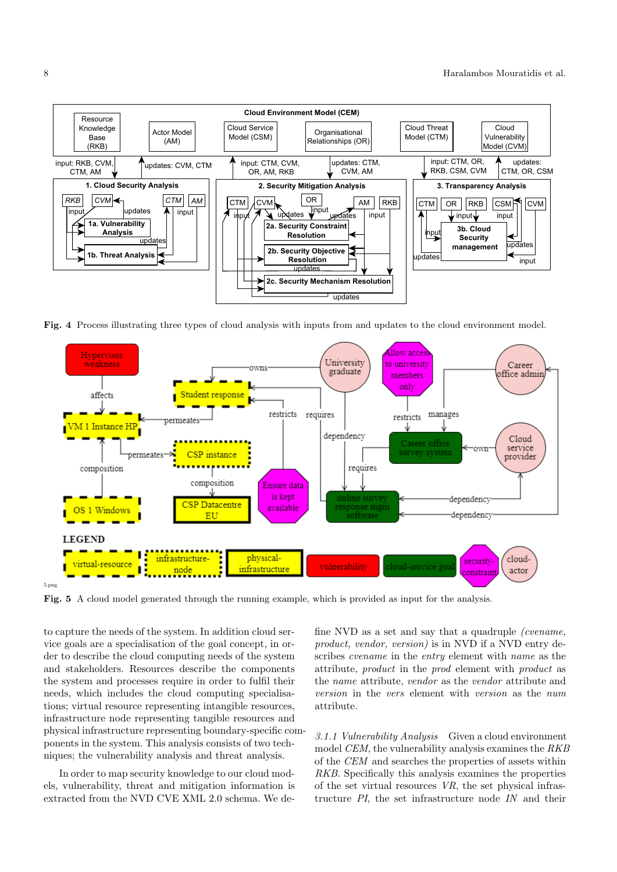

Fig. 4 Process illustrating three types of cloud analysis with inputs from and updates to the cloud environment model.



Fig. 5 A cloud model generated through the running example, which is provided as input for the analysis.

to capture the needs of the system. In addition cloud service goals are a specialisation of the goal concept, in order to describe the cloud computing needs of the system and stakeholders. Resources describe the components the system and processes require in order to fulfil their needs, which includes the cloud computing specialisations; virtual resource representing intangible resources, infrastructure node representing tangible resources and physical infrastructure representing boundary-specific components in the system. This analysis consists of two techniques; the vulnerability analysis and threat analysis.

In order to map security knowledge to our cloud models, vulnerability, threat and mitigation information is extracted from the NVD CVE XML 2.0 schema. We define NVD as a set and say that a quadruple (cvename, product, vendor, version) is in NVD if a NVD entry describes cvename in the entry element with name as the attribute, product in the prod element with product as the name attribute, vendor as the vendor attribute and version in the vers element with version as the num attribute.

3.1.1 Vulnerability Analysis Given a cloud environment model CEM, the vulnerability analysis examines the RKB of the CEM and searches the properties of assets within RKB. Specifically this analysis examines the properties of the set virtual resources VR, the set physical infrastructure PI, the set infrastructure node IN and their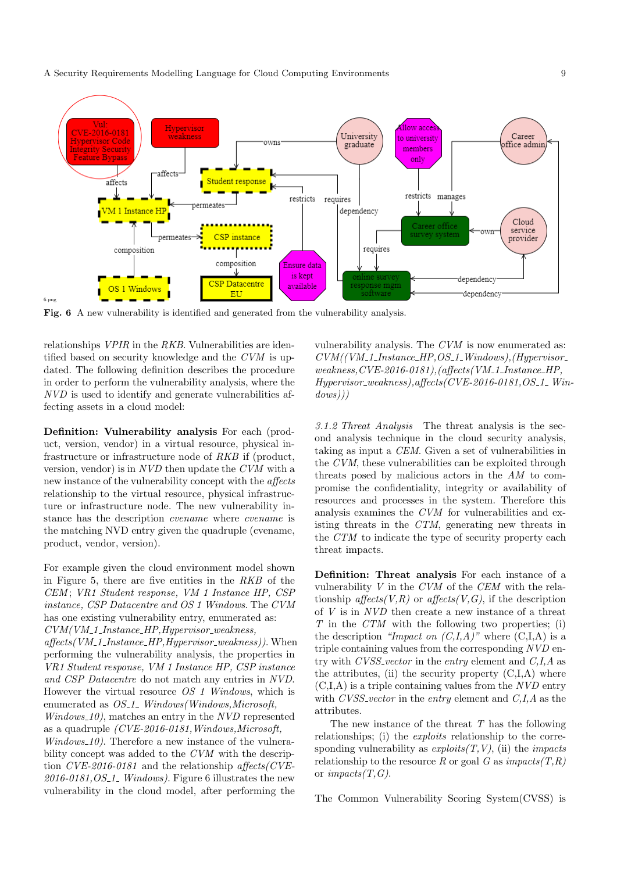A Security Requirements Modelling Language for Cloud Computing Environments 9



Fig. 6 A new vulnerability is identified and generated from the vulnerability analysis.

relationships *VPIR* in the *RKB*. Vulnerabilities are identified based on security knowledge and the CVM is updated. The following definition describes the procedure in order to perform the vulnerability analysis, where the NVD is used to identify and generate vulnerabilities affecting assets in a cloud model:

Definition: Vulnerability analysis For each (product, version, vendor) in a virtual resource, physical infrastructure or infrastructure node of RKB if (product, version, vendor) is in NVD then update the CVM with a new instance of the vulnerability concept with the affects relationship to the virtual resource, physical infrastructure or infrastructure node. The new vulnerability instance has the description cvename where cvename is the matching NVD entry given the quadruple (cvename, product, vendor, version).

For example given the cloud environment model shown in Figure 5, there are five entities in the RKB of the CEM ; VR1 Student response, VM 1 Instance HP, CSP instance, CSP Datacentre and OS 1 Windows. The CVM has one existing vulnerability entry, enumerated as:  $CVM(VM_11_Instance_HP,Hypervisor_weakness,$  $a\mathit{ffects}(VM_11_Instance_HP,Hypervisor_weakness)$ ). When performing the vulnerability analysis, the properties in VR1 Student response, VM 1 Instance HP, CSP instance and CSP Datacentre do not match any entries in NVD. However the virtual resource OS 1 Windows, which is enumerated as  $OS_1$ . Windows(Windows, Microsoft,  $Windows_10$ , matches an entry in the NVD represented as a quadruple (CVE-2016-0181,Windows,Microsoft,  $Windows_10$ . Therefore a new instance of the vulnerability concept was added to the CVM with the description  $CVE-2016-0181$  and the relationship affects (CVE- $2016-0181$ , OS<sub>-1</sub> Windows). Figure 6 illustrates the new vulnerability in the cloud model, after performing the

vulnerability analysis. The CVM is now enumerated as:  $CVM/(VM_11_Instance_HP,OS_1_Windows), (Hypervisor_$  $weakness, CVE-2016-0181), (affects(VM\_1\_Instance\_HP,$  $Hypervisor_weakness$ ), affects(CVE-2016-0181, OS\_1\_ Win $down))$ 

3.1.2 Threat Analysis The threat analysis is the second analysis technique in the cloud security analysis, taking as input a CEM. Given a set of vulnerabilities in the CVM, these vulnerabilities can be exploited through threats posed by malicious actors in the AM to compromise the confidentiality, integrity or availability of resources and processes in the system. Therefore this analysis examines the CVM for vulnerabilities and existing threats in the CTM, generating new threats in the CTM to indicate the type of security property each threat impacts.

Definition: Threat analysis For each instance of a vulnerability  $V$  in the  $CVM$  of the  $CEM$  with the relationship affects $(V, R)$  or affects $(V, G)$ , if the description of V is in NVD then create a new instance of a threat T in the CTM with the following two properties; (i) the description "Impact on  $(C,I,A)$ " where  $(C,I,A)$  is a triple containing values from the corresponding NVD entry with  $CVSS<sub>-</sub>vector$  in the entry element and  $C<sub>1</sub>, A$  as the attributes, (ii) the security property  $(C,I,A)$  where  $(C,I,A)$  is a triple containing values from the  $NVD$  entry with  $CVSS\_vector$  in the entry element and  $C,I,A$  as the attributes.

The new instance of the threat  $T$  has the following relationships; (i) the *exploits* relationship to the corresponding vulnerability as  $exploits(T, V)$ , (ii) the *impacts* relationship to the resource R or goal G as  $\mathit{impacts}(T,R)$ or *impacts* $(T, G)$ .

The Common Vulnerability Scoring System(CVSS) is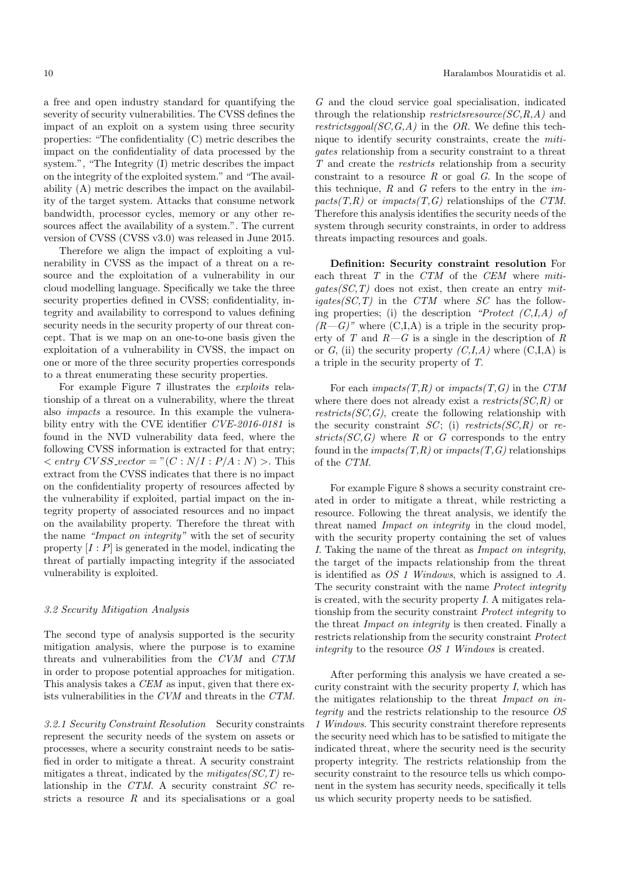a free and open industry standard for quantifying the severity of security vulnerabilities. The CVSS defines the impact of an exploit on a system using three security properties: "The confidentiality (C) metric describes the impact on the confidentiality of data processed by the system.", "The Integrity (I) metric describes the impact on the integrity of the exploited system." and "The availability (A) metric describes the impact on the availability of the target system. Attacks that consume network bandwidth, processor cycles, memory or any other resources affect the availability of a system.". The current version of CVSS (CVSS v3.0) was released in June 2015.

Therefore we align the impact of exploiting a vulnerability in CVSS as the impact of a threat on a resource and the exploitation of a vulnerability in our cloud modelling language. Specifically we take the three security properties defined in CVSS; confidentiality, integrity and availability to correspond to values defining security needs in the security property of our threat concept. That is we map on an one-to-one basis given the exploitation of a vulnerability in CVSS, the impact on one or more of the three security properties corresponds to a threat enumerating these security properties.

For example Figure 7 illustrates the exploits relationship of a threat on a vulnerability, where the threat also impacts a resource. In this example the vulnerability entry with the CVE identifier CVE-2016-0181 is found in the NVD vulnerability data feed, where the following CVSS information is extracted for that entry;  $\langle$  entry CVSS\_vector = "(C : N/I : P/A : N) >. This extract from the CVSS indicates that there is no impact on the confidentiality property of resources affected by the vulnerability if exploited, partial impact on the integrity property of associated resources and no impact on the availability property. Therefore the threat with the name "Impact on integrity" with the set of security property  $[I : P]$  is generated in the model, indicating the threat of partially impacting integrity if the associated vulnerability is exploited.

#### 3.2 Security Mitigation Analysis

The second type of analysis supported is the security mitigation analysis, where the purpose is to examine threats and vulnerabilities from the CVM and CTM in order to propose potential approaches for mitigation. This analysis takes a CEM as input, given that there exists vulnerabilities in the CVM and threats in the CTM.

3.2.1 Security Constraint Resolution Security constraints represent the security needs of the system on assets or processes, where a security constraint needs to be satisfied in order to mitigate a threat. A security constraint mitigates a threat, indicated by the  $mitigates(SC, T)$  relationship in the CTM. A security constraint SC restricts a resource  $R$  and its specialisations or a goal

G and the cloud service goal specialisation, indicated through the relationship *restrictsresource*( $SC, R, A$ ) and restrictsggoal( $SC, G, A$ ) in the OR. We define this technique to identify security constraints, create the mitigates relationship from a security constraint to a threat T and create the restricts relationship from a security constraint to a resource  $R$  or goal  $G$ . In the scope of this technique,  $R$  and  $G$  refers to the entry in the *im* $pacts(T,R)$  or  $impacts(T,G)$  relationships of the CTM. Therefore this analysis identifies the security needs of the system through security constraints, in order to address threats impacting resources and goals.

Definition: Security constraint resolution For each threat T in the CTM of the CEM where miti $gates(SC,T)$  does not exist, then create an entry mit $iqates(SC,T)$  in the CTM where SC has the following properties; (i) the description "Protect  $(C,I,A)$  of  $(R-G)$ " where  $(C,I,A)$  is a triple in the security property of  $T$  and  $R-G$  is a single in the description of  $R$ or G, (ii) the security property  $(C, I, A)$  where  $(C, I, A)$  is a triple in the security property of T.

For each impacts $(T,R)$  or impacts $(T,G)$  in the CTM where there does not already exist a restricts  $SC, R$ ) or  $restricts(SC, G)$ , create the following relationship with the security constraint  $SC$ ; (i) restricts( $SC, R$ ) or re $stricts(SC, G)$  where R or G corresponds to the entry found in the *impacts* $(T,R)$  or *impacts* $(T,G)$  relationships of the CTM.

For example Figure 8 shows a security constraint created in order to mitigate a threat, while restricting a resource. Following the threat analysis, we identify the threat named Impact on integrity in the cloud model, with the security property containing the set of values I. Taking the name of the threat as Impact on integrity, the target of the impacts relationship from the threat is identified as OS 1 Windows, which is assigned to A. The security constraint with the name Protect integrity is created, with the security property I. A mitigates relationship from the security constraint Protect integrity to the threat Impact on integrity is then created. Finally a restricts relationship from the security constraint Protect integrity to the resource OS 1 Windows is created.

After performing this analysis we have created a security constraint with the security property  $I$ , which has the mitigates relationship to the threat Impact on integrity and the restricts relationship to the resource OS 1 Windows. This security constraint therefore represents the security need which has to be satisfied to mitigate the indicated threat, where the security need is the security property integrity. The restricts relationship from the security constraint to the resource tells us which component in the system has security needs, specifically it tells us which security property needs to be satisfied.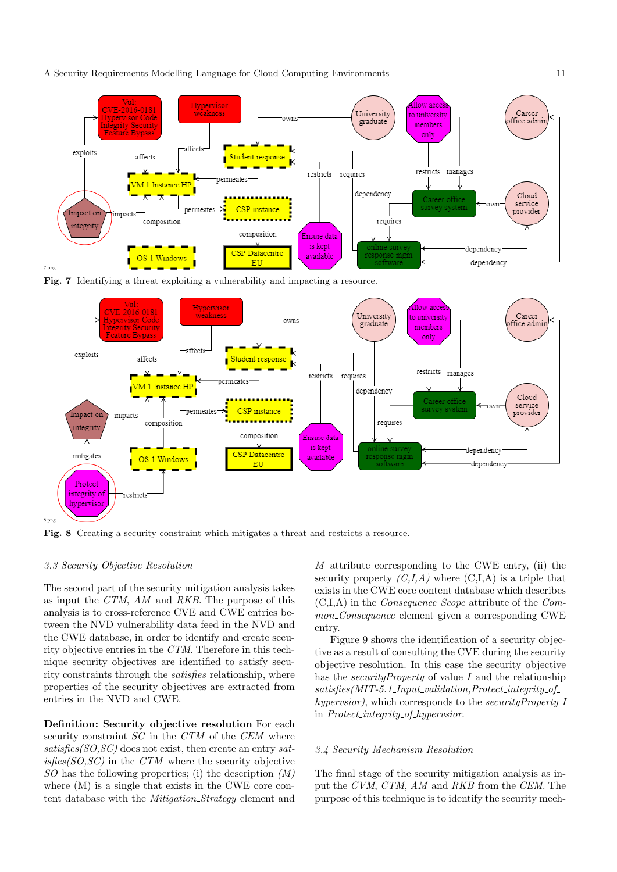A Security Requirements Modelling Language for Cloud Computing Environments 11



Fig. 7 Identifying a threat exploiting a vulnerability and impacting a resource.



Fig. 8 Creating a security constraint which mitigates a threat and restricts a resource.

## 3.3 Security Objective Resolution

The second part of the security mitigation analysis takes as input the CTM, AM and RKB. The purpose of this analysis is to cross-reference CVE and CWE entries between the NVD vulnerability data feed in the NVD and the CWE database, in order to identify and create security objective entries in the CTM. Therefore in this technique security objectives are identified to satisfy security constraints through the satisfies relationship, where properties of the security objectives are extracted from entries in the NVD and CWE.

Definition: Security objective resolution For each security constraint  $SC$  in the  $CTM$  of the  $CEM$  where  $satisfies(SO,SC)$  does not exist, then create an entry sat $isfies(SO,SC)$  in the  $CTM$  where the security objective  $SO$  has the following properties; (i) the description  $(M)$ where (M) is a single that exists in the CWE core content database with the *Mitigation\_Strategy* element and M attribute corresponding to the CWE entry, (ii) the security property  $(C,I,A)$  where  $(C,I,A)$  is a triple that exists in the CWE core content database which describes  $(C,I,A)$  in the *Consequence\_Scope* attribute of the *Com*mon\_Consequence element given a corresponding CWE entry.

Figure 9 shows the identification of a security objective as a result of consulting the CVE during the security objective resolution. In this case the security objective has the *securityProperty* of value  $I$  and the relationship  $satisfies (MIT-5.1 \_Input\_validation, protect\_integrity_of \_$ hypervsior), which corresponds to the security Property I in Protect integrity of hypervsior.

#### 3.4 Security Mechanism Resolution

The final stage of the security mitigation analysis as input the CVM, CTM, AM and RKB from the CEM. The purpose of this technique is to identify the security mech-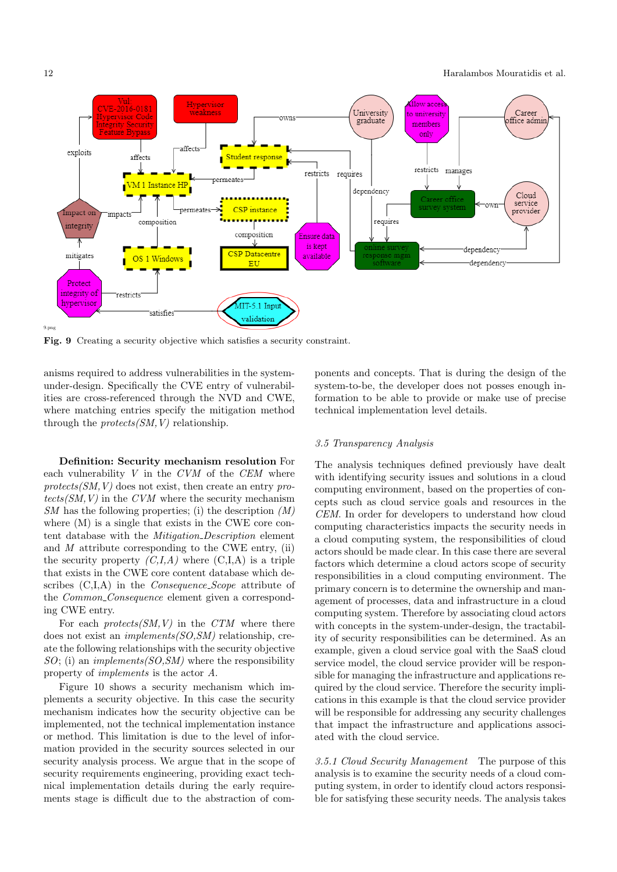

Fig. 9 Creating a security objective which satisfies a security constraint.

anisms required to address vulnerabilities in the systemunder-design. Specifically the CVE entry of vulnerabilities are cross-referenced through the NVD and CWE, where matching entries specify the mitigation method through the  $protects(SM, V)$  relationship.

Definition: Security mechanism resolution For each vulnerability  $V$  in the  $CVM$  of the  $CEM$  where  $protects(SM, V)$  does not exist, then create an entry pro $tects(SM,V)$  in the CVM where the security mechanism  $SM$  has the following properties; (i) the description  $(M)$ where (M) is a single that exists in the CWE core content database with the Mitigation Description element and  $M$  attribute corresponding to the CWE entry, (ii) the security property  $(C, I, A)$  where  $(C, I, A)$  is a triple that exists in the CWE core content database which describes (C,I,A) in the Consequence Scope attribute of the *Common\_Consequence* element given a corresponding CWE entry.

For each  $protects(SM,V)$  in the CTM where there does not exist an implements(SO,SM) relationship, create the following relationships with the security objective  $SO$ ; (i) an *implements(SO,SM)* where the responsibility property of implements is the actor A.

Figure 10 shows a security mechanism which implements a security objective. In this case the security mechanism indicates how the security objective can be implemented, not the technical implementation instance or method. This limitation is due to the level of information provided in the security sources selected in our security analysis process. We argue that in the scope of security requirements engineering, providing exact technical implementation details during the early requirements stage is difficult due to the abstraction of components and concepts. That is during the design of the system-to-be, the developer does not posses enough information to be able to provide or make use of precise technical implementation level details.

#### 3.5 Transparency Analysis

The analysis techniques defined previously have dealt with identifying security issues and solutions in a cloud computing environment, based on the properties of concepts such as cloud service goals and resources in the CEM. In order for developers to understand how cloud computing characteristics impacts the security needs in a cloud computing system, the responsibilities of cloud actors should be made clear. In this case there are several factors which determine a cloud actors scope of security responsibilities in a cloud computing environment. The primary concern is to determine the ownership and management of processes, data and infrastructure in a cloud computing system. Therefore by associating cloud actors with concepts in the system-under-design, the tractability of security responsibilities can be determined. As an example, given a cloud service goal with the SaaS cloud service model, the cloud service provider will be responsible for managing the infrastructure and applications required by the cloud service. Therefore the security implications in this example is that the cloud service provider will be responsible for addressing any security challenges that impact the infrastructure and applications associated with the cloud service.

3.5.1 Cloud Security Management The purpose of this analysis is to examine the security needs of a cloud computing system, in order to identify cloud actors responsible for satisfying these security needs. The analysis takes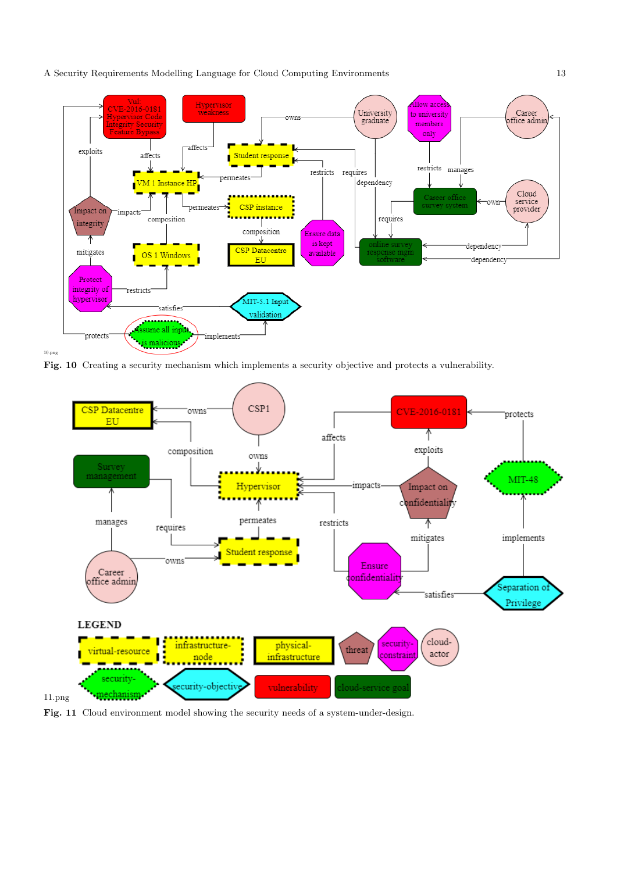A Security Requirements Modelling Language for Cloud Computing Environments 13



Fig. 10 Creating a security mechanism which implements a security objective and protects a vulnerability.



Fig. 11 Cloud environment model showing the security needs of a system-under-design.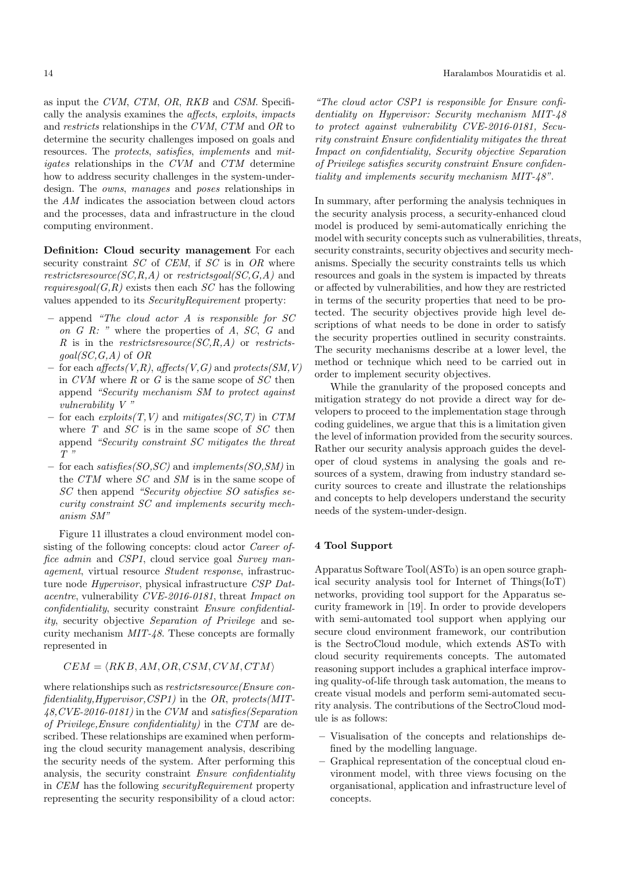as input the CVM, CTM, OR, RKB and CSM. Specifically the analysis examines the affects, exploits, impacts and restricts relationships in the CVM, CTM and OR to determine the security challenges imposed on goals and resources. The protects, satisfies, implements and mitigates relationships in the CVM and CTM determine how to address security challenges in the system-underdesign. The owns, manages and poses relationships in the AM indicates the association between cloud actors and the processes, data and infrastructure in the cloud computing environment.

Definition: Cloud security management For each security constraint  $SC$  of  $CEM$ , if  $SC$  is in  $OR$  where restrictsresource(SC,R,A) or restrictsgoal(SC,G,A) and *requiresgoal* $(G,R)$  exists then each SC has the following values appended to its SecurityRequirement property:

- append "The cloud actor A is responsible for SC on G R: " where the properties of A, SC, G and R is in the restricts resource  $(SC, R, A)$  or restricts $goal(SC, G, A)$  of  $OR$
- for each affects(V,R), affects(V,G) and protects(SM,V) in  $CVM$  where R or G is the same scope of  $SC$  then append "Security mechanism SM to protect against vulnerability V "
- for each  $exploits(T, V)$  and  $mitigates(SC, T)$  in  $CTM$ where  $T$  and  $SC$  is in the same scope of  $SC$  then append "Security constraint SC mitigates the threat  $T$  "
- for each satisfies  $(SO, SC)$  and implements  $(SO, SM)$  in the CTM where SC and SM is in the same scope of SC then append "Security objective SO satisfies security constraint SC and implements security mechanism SM"

Figure 11 illustrates a cloud environment model consisting of the following concepts: cloud actor Career office admin and CSP1, cloud service goal Survey management, virtual resource Student response, infrastructure node Hypervisor, physical infrastructure CSP Datacentre, vulnerability CVE-2016-0181, threat Impact on confidentiality, security constraint Ensure confidentiality, security objective Separation of Privilege and security mechanism MIT-48. These concepts are formally represented in

# $CEM = \langle RKB, AM, OR, CSM, CVM, CTM \rangle$

where relationships such as *restrictsresource*(*Ensure con*fidentiality,Hypervisor,CSP1) in the OR, protects(MIT-48,CVE-2016-0181) in the CVM and satisfies(Separation of Privilege,Ensure confidentiality) in the CTM are described. These relationships are examined when performing the cloud security management analysis, describing the security needs of the system. After performing this analysis, the security constraint Ensure confidentiality in CEM has the following securityRequirement property representing the security responsibility of a cloud actor:

"The cloud actor CSP1 is responsible for Ensure confidentiality on Hypervisor: Security mechanism MIT-48 to protect against vulnerability CVE-2016-0181, Security constraint Ensure confidentiality mitigates the threat Impact on confidentiality, Security objective Separation of Privilege satisfies security constraint Ensure confidentiality and implements security mechanism MIT-48".

In summary, after performing the analysis techniques in the security analysis process, a security-enhanced cloud model is produced by semi-automatically enriching the model with security concepts such as vulnerabilities, threats, security constraints, security objectives and security mechanisms. Specially the security constraints tells us which resources and goals in the system is impacted by threats or affected by vulnerabilities, and how they are restricted in terms of the security properties that need to be protected. The security objectives provide high level descriptions of what needs to be done in order to satisfy the security properties outlined in security constraints. The security mechanisms describe at a lower level, the method or technique which need to be carried out in order to implement security objectives.

While the granularity of the proposed concepts and mitigation strategy do not provide a direct way for developers to proceed to the implementation stage through coding guidelines, we argue that this is a limitation given the level of information provided from the security sources. Rather our security analysis approach guides the developer of cloud systems in analysing the goals and resources of a system, drawing from industry standard security sources to create and illustrate the relationships and concepts to help developers understand the security needs of the system-under-design.

#### 4 Tool Support

Apparatus Software Tool(ASTo) is an open source graphical security analysis tool for Internet of Things(IoT) networks, providing tool support for the Apparatus security framework in [19]. In order to provide developers with semi-automated tool support when applying our secure cloud environment framework, our contribution is the SectroCloud module, which extends ASTo with cloud security requirements concepts. The automated reasoning support includes a graphical interface improving quality-of-life through task automation, the means to create visual models and perform semi-automated security analysis. The contributions of the SectroCloud module is as follows:

- Visualisation of the concepts and relationships defined by the modelling language.
- Graphical representation of the conceptual cloud environment model, with three views focusing on the organisational, application and infrastructure level of concepts.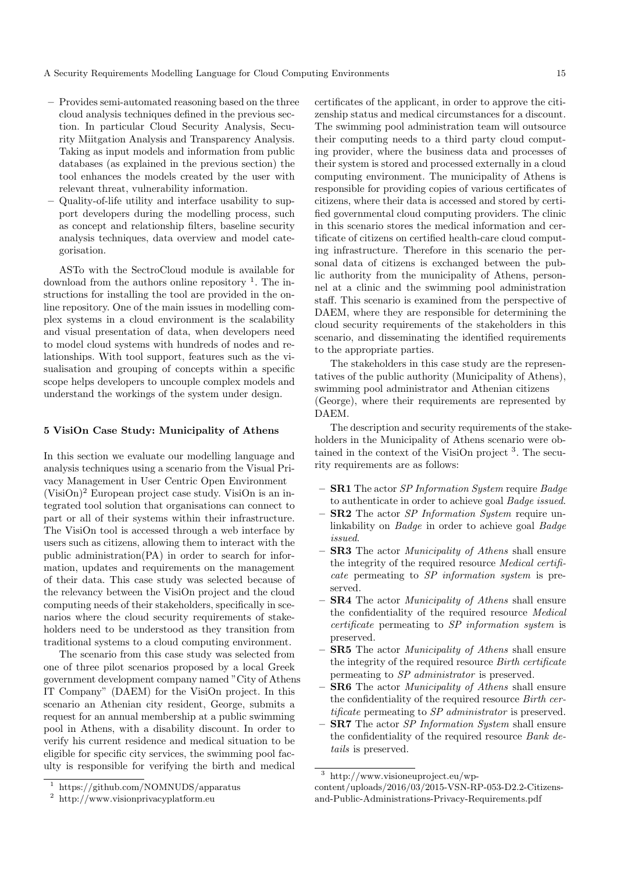- Provides semi-automated reasoning based on the three cloud analysis techniques defined in the previous section. In particular Cloud Security Analysis, Security Miitgation Analysis and Transparency Analysis. Taking as input models and information from public databases (as explained in the previous section) the tool enhances the models created by the user with relevant threat, vulnerability information.
- Quality-of-life utility and interface usability to support developers during the modelling process, such as concept and relationship filters, baseline security analysis techniques, data overview and model categorisation.

ASTo with the SectroCloud module is available for download from the authors online repository <sup>1</sup>. The instructions for installing the tool are provided in the online repository. One of the main issues in modelling complex systems in a cloud environment is the scalability and visual presentation of data, when developers need to model cloud systems with hundreds of nodes and relationships. With tool support, features such as the visualisation and grouping of concepts within a specific scope helps developers to uncouple complex models and understand the workings of the system under design.

## 5 VisiOn Case Study: Municipality of Athens

In this section we evaluate our modelling language and analysis techniques using a scenario from the Visual Privacy Management in User Centric Open Environment  $(VisiOn)<sup>2</sup> European project case study. Vision is an in$ tegrated tool solution that organisations can connect to part or all of their systems within their infrastructure. The VisiOn tool is accessed through a web interface by users such as citizens, allowing them to interact with the public administration(PA) in order to search for information, updates and requirements on the management of their data. This case study was selected because of the relevancy between the VisiOn project and the cloud computing needs of their stakeholders, specifically in scenarios where the cloud security requirements of stakeholders need to be understood as they transition from traditional systems to a cloud computing environment.

The scenario from this case study was selected from one of three pilot scenarios proposed by a local Greek government development company named "City of Athens IT Company" (DAEM) for the VisiOn project. In this scenario an Athenian city resident, George, submits a request for an annual membership at a public swimming pool in Athens, with a disability discount. In order to verify his current residence and medical situation to be eligible for specific city services, the swimming pool faculty is responsible for verifying the birth and medical

certificates of the applicant, in order to approve the citizenship status and medical circumstances for a discount. The swimming pool administration team will outsource their computing needs to a third party cloud computing provider, where the business data and processes of their system is stored and processed externally in a cloud computing environment. The municipality of Athens is responsible for providing copies of various certificates of citizens, where their data is accessed and stored by certified governmental cloud computing providers. The clinic in this scenario stores the medical information and certificate of citizens on certified health-care cloud computing infrastructure. Therefore in this scenario the personal data of citizens is exchanged between the public authority from the municipality of Athens, personnel at a clinic and the swimming pool administration staff. This scenario is examined from the perspective of DAEM, where they are responsible for determining the cloud security requirements of the stakeholders in this scenario, and disseminating the identified requirements to the appropriate parties.

The stakeholders in this case study are the representatives of the public authority (Municipality of Athens), swimming pool administrator and Athenian citizens (George), where their requirements are represented by DAEM.

The description and security requirements of the stakeholders in the Municipality of Athens scenario were obtained in the context of the VisiOn project  $3$ . The security requirements are as follows:

- $-$  **SR1** The actor *SP Information System* require *Badge* to authenticate in order to achieve goal Badge issued.
- $-$  **SR2** The actor *SP Information System* require unlinkability on Badge in order to achieve goal Badge issued.
- SR3 The actor Municipality of Athens shall ensure the integrity of the required resource Medical certificate permeating to SP information system is preserved.
- $-$  **SR4** The actor *Municipality of Athens* shall ensure the confidentiality of the required resource Medical certificate permeating to SP information system is preserved.
- **SR5** The actor *Municipality of Athens* shall ensure the integrity of the required resource Birth certificate permeating to SP administrator is preserved.
- **SR6** The actor *Municipality of Athens* shall ensure the confidentiality of the required resource Birth certificate permeating to SP administrator is preserved.
- SR7 The actor SP Information System shall ensure the confidentiality of the required resource Bank details is preserved.

<sup>&</sup>lt;sup>1</sup> https://github.com/NOMNUDS/apparatus<br><sup>2</sup> http://www.visionprivacyplatform.eu

<sup>2</sup> http://www.visionprivacyplatform.eu

<sup>3</sup> http://www.visioneuproject.eu/wp-

content/uploads/2016/03/2015-VSN-RP-053-D2.2-Citizensand-Public-Administrations-Privacy-Requirements.pdf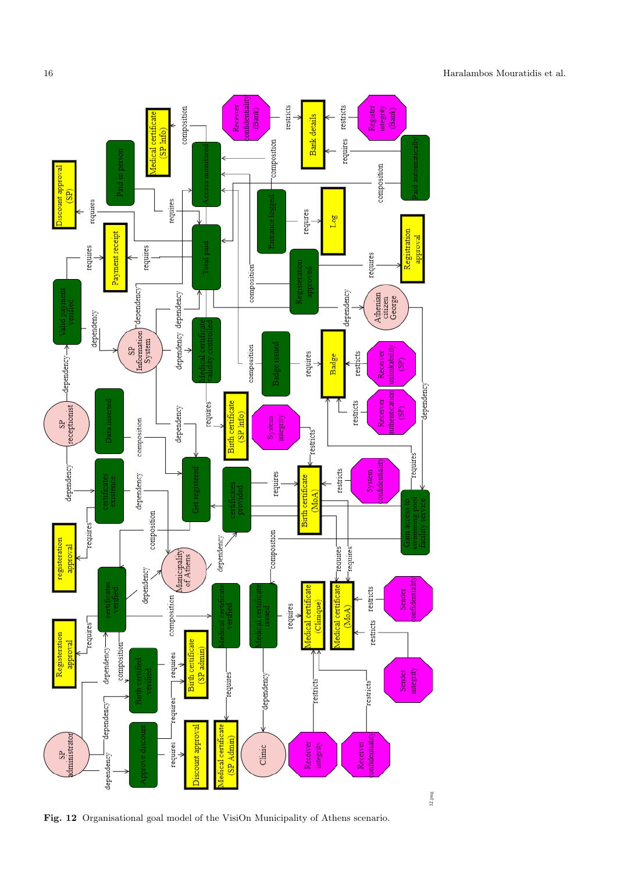

Fig. 12 Organisational goal model of the VisiOn Municipality of Athens scenario.

16 Haralambos Mouratidis et al.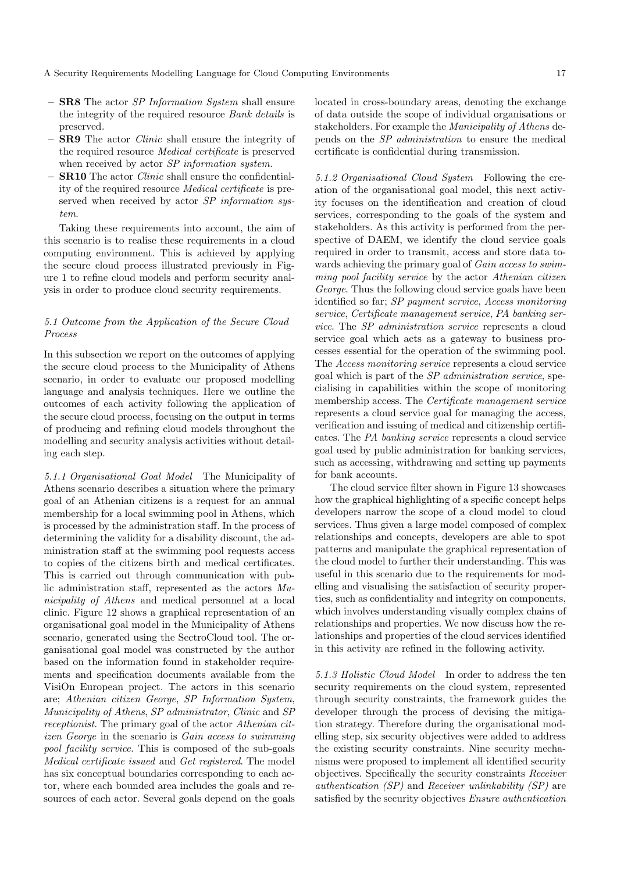- SR8 The actor SP Information System shall ensure the integrity of the required resource Bank details is preserved.
- SR9 The actor Clinic shall ensure the integrity of the required resource Medical certificate is preserved when received by actor SP information system.
- SR10 The actor Clinic shall ensure the confidentiality of the required resource Medical certificate is preserved when received by actor SP information system.

Taking these requirements into account, the aim of this scenario is to realise these requirements in a cloud computing environment. This is achieved by applying the secure cloud process illustrated previously in Figure 1 to refine cloud models and perform security analysis in order to produce cloud security requirements.

# 5.1 Outcome from the Application of the Secure Cloud Process

In this subsection we report on the outcomes of applying the secure cloud process to the Municipality of Athens scenario, in order to evaluate our proposed modelling language and analysis techniques. Here we outline the outcomes of each activity following the application of the secure cloud process, focusing on the output in terms of producing and refining cloud models throughout the modelling and security analysis activities without detailing each step.

5.1.1 Organisational Goal Model The Municipality of Athens scenario describes a situation where the primary goal of an Athenian citizens is a request for an annual membership for a local swimming pool in Athens, which is processed by the administration staff. In the process of determining the validity for a disability discount, the administration staff at the swimming pool requests access to copies of the citizens birth and medical certificates. This is carried out through communication with public administration staff, represented as the actors Municipality of Athens and medical personnel at a local clinic. Figure 12 shows a graphical representation of an organisational goal model in the Municipality of Athens scenario, generated using the SectroCloud tool. The organisational goal model was constructed by the author based on the information found in stakeholder requirements and specification documents available from the VisiOn European project. The actors in this scenario are; Athenian citizen George, SP Information System, Municipality of Athens, SP administrator, Clinic and SP receptionist. The primary goal of the actor Athenian citizen George in the scenario is Gain access to swimming pool facility service. This is composed of the sub-goals Medical certificate issued and Get registered. The model has six conceptual boundaries corresponding to each actor, where each bounded area includes the goals and resources of each actor. Several goals depend on the goals located in cross-boundary areas, denoting the exchange of data outside the scope of individual organisations or stakeholders. For example the Municipality of Athens depends on the SP administration to ensure the medical certificate is confidential during transmission.

5.1.2 Organisational Cloud System Following the creation of the organisational goal model, this next activity focuses on the identification and creation of cloud services, corresponding to the goals of the system and stakeholders. As this activity is performed from the perspective of DAEM, we identify the cloud service goals required in order to transmit, access and store data towards achieving the primary goal of Gain access to swimming pool facility service by the actor Athenian citizen George. Thus the following cloud service goals have been identified so far; SP payment service, Access monitoring service, Certificate management service, PA banking service. The SP administration service represents a cloud service goal which acts as a gateway to business processes essential for the operation of the swimming pool. The Access monitoring service represents a cloud service goal which is part of the SP administration service, specialising in capabilities within the scope of monitoring membership access. The Certificate management service represents a cloud service goal for managing the access, verification and issuing of medical and citizenship certificates. The PA banking service represents a cloud service goal used by public administration for banking services, such as accessing, withdrawing and setting up payments for bank accounts.

The cloud service filter shown in Figure 13 showcases how the graphical highlighting of a specific concept helps developers narrow the scope of a cloud model to cloud services. Thus given a large model composed of complex relationships and concepts, developers are able to spot patterns and manipulate the graphical representation of the cloud model to further their understanding. This was useful in this scenario due to the requirements for modelling and visualising the satisfaction of security properties, such as confidentiality and integrity on components, which involves understanding visually complex chains of relationships and properties. We now discuss how the relationships and properties of the cloud services identified in this activity are refined in the following activity.

5.1.3 Holistic Cloud Model In order to address the ten security requirements on the cloud system, represented through security constraints, the framework guides the developer through the process of devising the mitigation strategy. Therefore during the organisational modelling step, six security objectives were added to address the existing security constraints. Nine security mechanisms were proposed to implement all identified security objectives. Specifically the security constraints Receiver authentication (SP) and Receiver unlinkability (SP) are satisfied by the security objectives Ensure authentication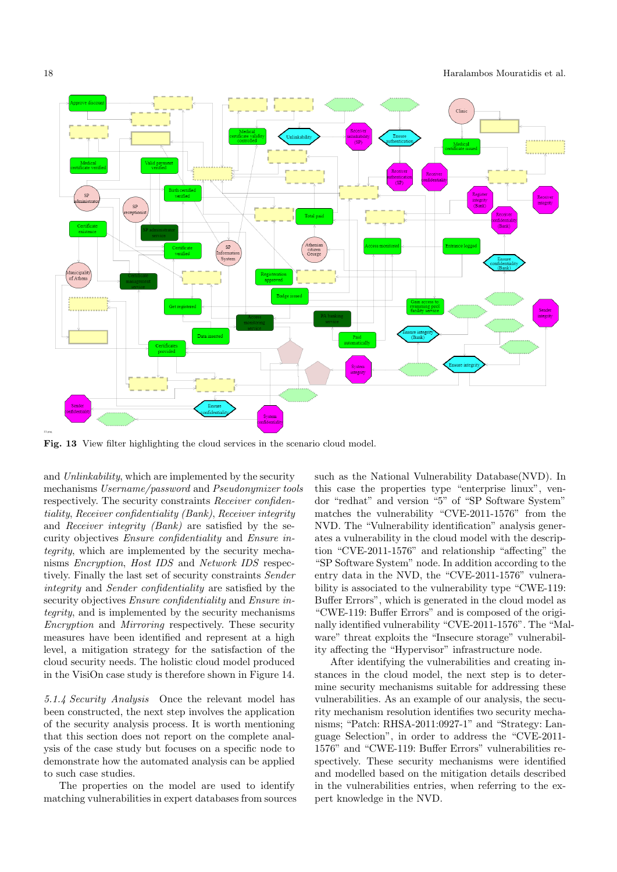

Fig. 13 View filter highlighting the cloud services in the scenario cloud model.

and Unlinkability, which are implemented by the security mechanisms Username/password and Pseudonymizer tools respectively. The security constraints Receiver confidentiality, Receiver confidentiality (Bank), Receiver integrity and Receiver integrity (Bank) are satisfied by the security objectives Ensure confidentiality and Ensure integrity, which are implemented by the security mechanisms Encryption, Host IDS and Network IDS respectively. Finally the last set of security constraints Sender integrity and Sender confidentiality are satisfied by the security objectives Ensure confidentiality and Ensure integrity, and is implemented by the security mechanisms Encryption and Mirroring respectively. These security measures have been identified and represent at a high level, a mitigation strategy for the satisfaction of the cloud security needs. The holistic cloud model produced in the VisiOn case study is therefore shown in Figure 14.

5.1.4 Security Analysis Once the relevant model has been constructed, the next step involves the application of the security analysis process. It is worth mentioning that this section does not report on the complete analysis of the case study but focuses on a specific node to demonstrate how the automated analysis can be applied to such case studies.

The properties on the model are used to identify matching vulnerabilities in expert databases from sources such as the National Vulnerability Database(NVD). In this case the properties type "enterprise linux", vendor "redhat" and version "5" of "SP Software System" matches the vulnerability "CVE-2011-1576" from the NVD. The "Vulnerability identification" analysis generates a vulnerability in the cloud model with the description "CVE-2011-1576" and relationship "affecting" the "SP Software System" node. In addition according to the entry data in the NVD, the "CVE-2011-1576" vulnerability is associated to the vulnerability type "CWE-119: Buffer Errors", which is generated in the cloud model as "CWE-119: Buffer Errors" and is composed of the originally identified vulnerability "CVE-2011-1576". The "Malware" threat exploits the "Insecure storage" vulnerability affecting the "Hypervisor" infrastructure node.

After identifying the vulnerabilities and creating instances in the cloud model, the next step is to determine security mechanisms suitable for addressing these vulnerabilities. As an example of our analysis, the security mechanism resolution identifies two security mechanisms; "Patch: RHSA-2011:0927-1" and "Strategy: Language Selection", in order to address the "CVE-2011- 1576" and "CWE-119: Buffer Errors" vulnerabilities respectively. These security mechanisms were identified and modelled based on the mitigation details described in the vulnerabilities entries, when referring to the expert knowledge in the NVD.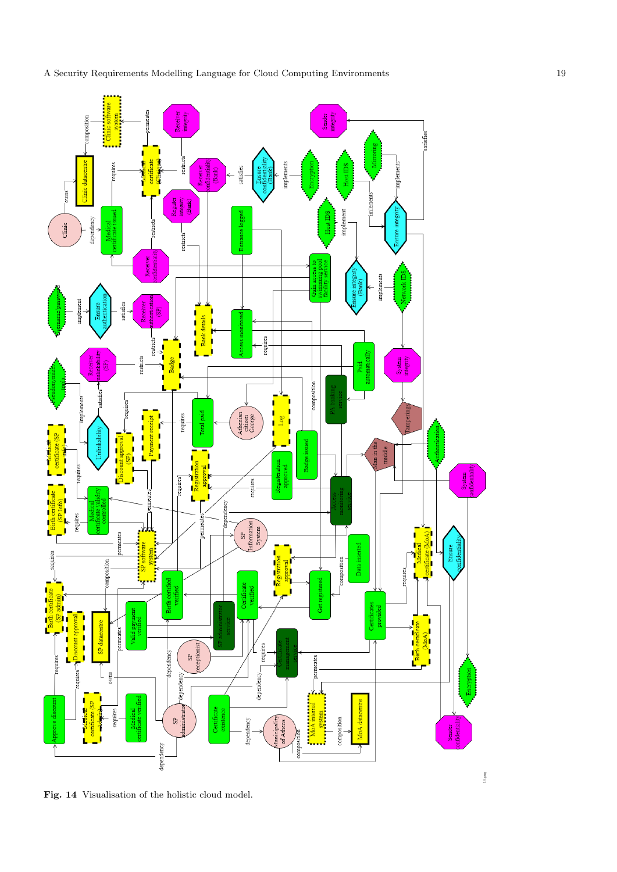



Fig. 14 Visualisation of the holistic cloud model.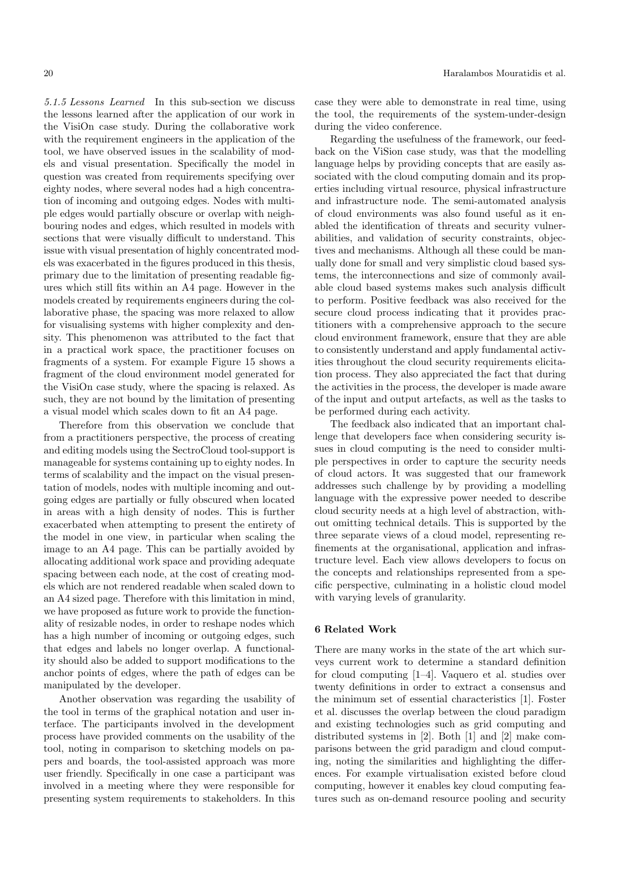5.1.5 Lessons Learned In this sub-section we discuss the lessons learned after the application of our work in the VisiOn case study. During the collaborative work with the requirement engineers in the application of the tool, we have observed issues in the scalability of models and visual presentation. Specifically the model in question was created from requirements specifying over eighty nodes, where several nodes had a high concentration of incoming and outgoing edges. Nodes with multiple edges would partially obscure or overlap with neighbouring nodes and edges, which resulted in models with sections that were visually difficult to understand. This issue with visual presentation of highly concentrated models was exacerbated in the figures produced in this thesis, primary due to the limitation of presenting readable figures which still fits within an A4 page. However in the models created by requirements engineers during the collaborative phase, the spacing was more relaxed to allow for visualising systems with higher complexity and density. This phenomenon was attributed to the fact that in a practical work space, the practitioner focuses on fragments of a system. For example Figure 15 shows a fragment of the cloud environment model generated for the VisiOn case study, where the spacing is relaxed. As such, they are not bound by the limitation of presenting a visual model which scales down to fit an A4 page.

Therefore from this observation we conclude that from a practitioners perspective, the process of creating and editing models using the SectroCloud tool-support is manageable for systems containing up to eighty nodes. In terms of scalability and the impact on the visual presentation of models, nodes with multiple incoming and outgoing edges are partially or fully obscured when located in areas with a high density of nodes. This is further exacerbated when attempting to present the entirety of the model in one view, in particular when scaling the image to an A4 page. This can be partially avoided by allocating additional work space and providing adequate spacing between each node, at the cost of creating models which are not rendered readable when scaled down to an A4 sized page. Therefore with this limitation in mind, we have proposed as future work to provide the functionality of resizable nodes, in order to reshape nodes which has a high number of incoming or outgoing edges, such that edges and labels no longer overlap. A functionality should also be added to support modifications to the anchor points of edges, where the path of edges can be manipulated by the developer.

Another observation was regarding the usability of the tool in terms of the graphical notation and user interface. The participants involved in the development process have provided comments on the usability of the tool, noting in comparison to sketching models on papers and boards, the tool-assisted approach was more user friendly. Specifically in one case a participant was involved in a meeting where they were responsible for presenting system requirements to stakeholders. In this case they were able to demonstrate in real time, using the tool, the requirements of the system-under-design during the video conference.

Regarding the usefulness of the framework, our feedback on the ViSion case study, was that the modelling language helps by providing concepts that are easily associated with the cloud computing domain and its properties including virtual resource, physical infrastructure and infrastructure node. The semi-automated analysis of cloud environments was also found useful as it enabled the identification of threats and security vulnerabilities, and validation of security constraints, objectives and mechanisms. Although all these could be manually done for small and very simplistic cloud based systems, the interconnections and size of commonly available cloud based systems makes such analysis difficult to perform. Positive feedback was also received for the secure cloud process indicating that it provides practitioners with a comprehensive approach to the secure cloud environment framework, ensure that they are able to consistently understand and apply fundamental activities throughout the cloud security requirements elicitation process. They also appreciated the fact that during the activities in the process, the developer is made aware of the input and output artefacts, as well as the tasks to be performed during each activity.

The feedback also indicated that an important challenge that developers face when considering security issues in cloud computing is the need to consider multiple perspectives in order to capture the security needs of cloud actors. It was suggested that our framework addresses such challenge by by providing a modelling language with the expressive power needed to describe cloud security needs at a high level of abstraction, without omitting technical details. This is supported by the three separate views of a cloud model, representing refinements at the organisational, application and infrastructure level. Each view allows developers to focus on the concepts and relationships represented from a specific perspective, culminating in a holistic cloud model with varying levels of granularity.

#### 6 Related Work

There are many works in the state of the art which surveys current work to determine a standard definition for cloud computing [1–4]. Vaquero et al. studies over twenty definitions in order to extract a consensus and the minimum set of essential characteristics [1]. Foster et al. discusses the overlap between the cloud paradigm and existing technologies such as grid computing and distributed systems in [2]. Both [1] and [2] make comparisons between the grid paradigm and cloud computing, noting the similarities and highlighting the differences. For example virtualisation existed before cloud computing, however it enables key cloud computing features such as on-demand resource pooling and security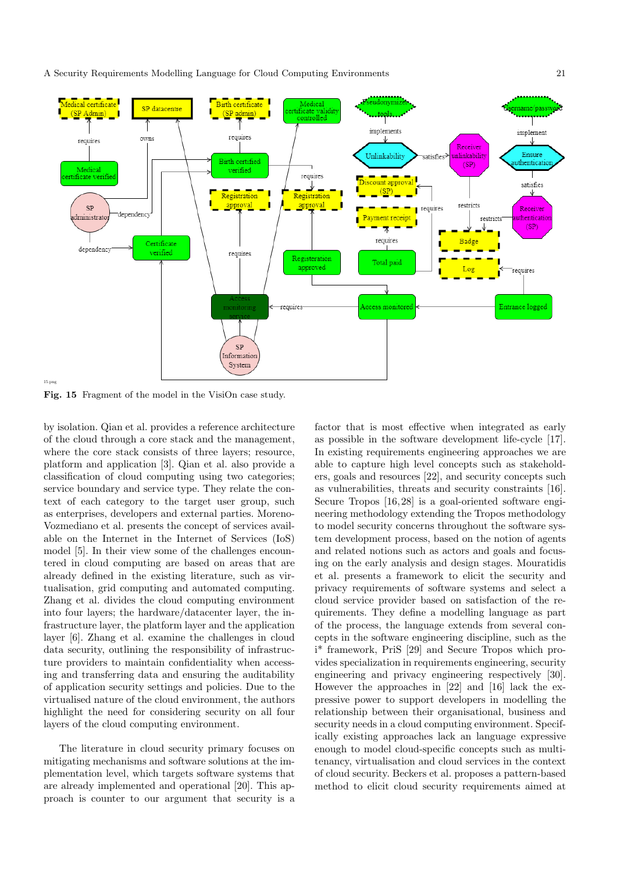A Security Requirements Modelling Language for Cloud Computing Environments 21



Fig. 15 Fragment of the model in the VisiOn case study.

by isolation. Qian et al. provides a reference architecture of the cloud through a core stack and the management, where the core stack consists of three layers; resource, platform and application [3]. Qian et al. also provide a classification of cloud computing using two categories; service boundary and service type. They relate the context of each category to the target user group, such as enterprises, developers and external parties. Moreno-Vozmediano et al. presents the concept of services available on the Internet in the Internet of Services (IoS) model [5]. In their view some of the challenges encountered in cloud computing are based on areas that are already defined in the existing literature, such as virtualisation, grid computing and automated computing. Zhang et al. divides the cloud computing environment into four layers; the hardware/datacenter layer, the infrastructure layer, the platform layer and the application layer [6]. Zhang et al. examine the challenges in cloud data security, outlining the responsibility of infrastructure providers to maintain confidentiality when accessing and transferring data and ensuring the auditability of application security settings and policies. Due to the virtualised nature of the cloud environment, the authors highlight the need for considering security on all four layers of the cloud computing environment.

The literature in cloud security primary focuses on mitigating mechanisms and software solutions at the implementation level, which targets software systems that are already implemented and operational [20]. This approach is counter to our argument that security is a factor that is most effective when integrated as early as possible in the software development life-cycle [17]. In existing requirements engineering approaches we are able to capture high level concepts such as stakeholders, goals and resources [22], and security concepts such as vulnerabilities, threats and security constraints [16]. Secure Tropos [16,28] is a goal-oriented software engineering methodology extending the Tropos methodology to model security concerns throughout the software system development process, based on the notion of agents and related notions such as actors and goals and focusing on the early analysis and design stages. Mouratidis et al. presents a framework to elicit the security and privacy requirements of software systems and select a cloud service provider based on satisfaction of the requirements. They define a modelling language as part of the process, the language extends from several concepts in the software engineering discipline, such as the i\* framework, PriS [29] and Secure Tropos which provides specialization in requirements engineering, security engineering and privacy engineering respectively [30]. However the approaches in [22] and [16] lack the expressive power to support developers in modelling the relationship between their organisational, business and security needs in a cloud computing environment. Specifically existing approaches lack an language expressive enough to model cloud-specific concepts such as multitenancy, virtualisation and cloud services in the context of cloud security. Beckers et al. proposes a pattern-based method to elicit cloud security requirements aimed at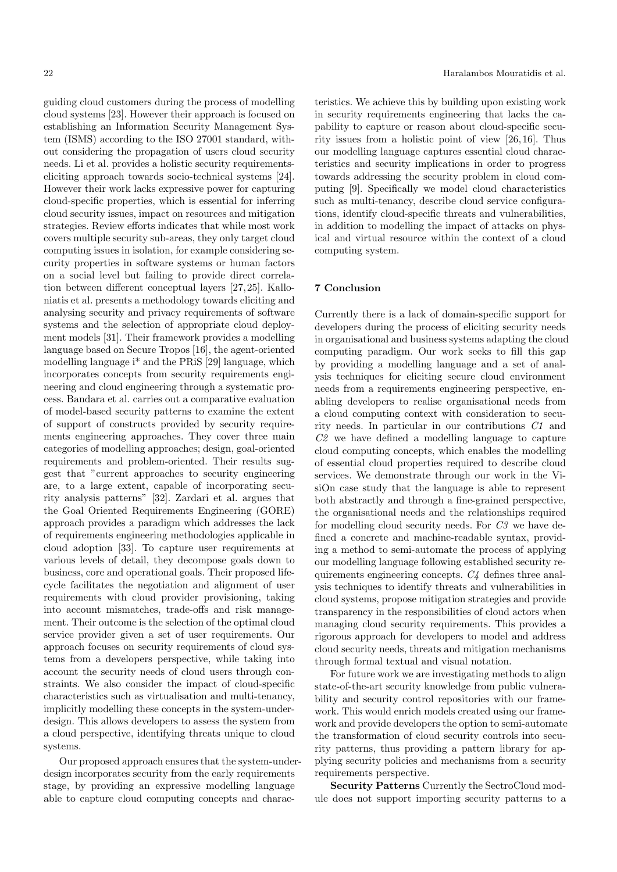guiding cloud customers during the process of modelling cloud systems [23]. However their approach is focused on establishing an Information Security Management System (ISMS) according to the ISO 27001 standard, without considering the propagation of users cloud security needs. Li et al. provides a holistic security requirementseliciting approach towards socio-technical systems [24]. However their work lacks expressive power for capturing cloud-specific properties, which is essential for inferring cloud security issues, impact on resources and mitigation strategies. Review efforts indicates that while most work covers multiple security sub-areas, they only target cloud computing issues in isolation, for example considering security properties in software systems or human factors on a social level but failing to provide direct correlation between different conceptual layers [27, 25]. Kalloniatis et al. presents a methodology towards eliciting and analysing security and privacy requirements of software systems and the selection of appropriate cloud deployment models [31]. Their framework provides a modelling language based on Secure Tropos [16], the agent-oriented modelling language i\* and the PRiS [29] language, which incorporates concepts from security requirements engineering and cloud engineering through a systematic process. Bandara et al. carries out a comparative evaluation of model-based security patterns to examine the extent of support of constructs provided by security requirements engineering approaches. They cover three main categories of modelling approaches; design, goal-oriented requirements and problem-oriented. Their results suggest that "current approaches to security engineering are, to a large extent, capable of incorporating security analysis patterns" [32]. Zardari et al. argues that the Goal Oriented Requirements Engineering (GORE) approach provides a paradigm which addresses the lack of requirements engineering methodologies applicable in cloud adoption [33]. To capture user requirements at various levels of detail, they decompose goals down to business, core and operational goals. Their proposed lifecycle facilitates the negotiation and alignment of user requirements with cloud provider provisioning, taking into account mismatches, trade-offs and risk management. Their outcome is the selection of the optimal cloud service provider given a set of user requirements. Our approach focuses on security requirements of cloud systems from a developers perspective, while taking into account the security needs of cloud users through constraints. We also consider the impact of cloud-specific characteristics such as virtualisation and multi-tenancy, implicitly modelling these concepts in the system-underdesign. This allows developers to assess the system from a cloud perspective, identifying threats unique to cloud systems.

Our proposed approach ensures that the system-underdesign incorporates security from the early requirements stage, by providing an expressive modelling language able to capture cloud computing concepts and characteristics. We achieve this by building upon existing work in security requirements engineering that lacks the capability to capture or reason about cloud-specific security issues from a holistic point of view [26, 16]. Thus our modelling language captures essential cloud characteristics and security implications in order to progress towards addressing the security problem in cloud computing [9]. Specifically we model cloud characteristics such as multi-tenancy, describe cloud service configurations, identify cloud-specific threats and vulnerabilities, in addition to modelling the impact of attacks on physical and virtual resource within the context of a cloud computing system.

# 7 Conclusion

Currently there is a lack of domain-specific support for developers during the process of eliciting security needs in organisational and business systems adapting the cloud computing paradigm. Our work seeks to fill this gap by providing a modelling language and a set of analysis techniques for eliciting secure cloud environment needs from a requirements engineering perspective, enabling developers to realise organisational needs from a cloud computing context with consideration to security needs. In particular in our contributions C1 and C2 we have defined a modelling language to capture cloud computing concepts, which enables the modelling of essential cloud properties required to describe cloud services. We demonstrate through our work in the VisiOn case study that the language is able to represent both abstractly and through a fine-grained perspective, the organisational needs and the relationships required for modelling cloud security needs. For C3 we have defined a concrete and machine-readable syntax, providing a method to semi-automate the process of applying our modelling language following established security requirements engineering concepts. C4 defines three analysis techniques to identify threats and vulnerabilities in cloud systems, propose mitigation strategies and provide transparency in the responsibilities of cloud actors when managing cloud security requirements. This provides a rigorous approach for developers to model and address cloud security needs, threats and mitigation mechanisms through formal textual and visual notation.

For future work we are investigating methods to align state-of-the-art security knowledge from public vulnerability and security control repositories with our framework. This would enrich models created using our framework and provide developers the option to semi-automate the transformation of cloud security controls into security patterns, thus providing a pattern library for applying security policies and mechanisms from a security requirements perspective.

Security Patterns Currently the SectroCloud module does not support importing security patterns to a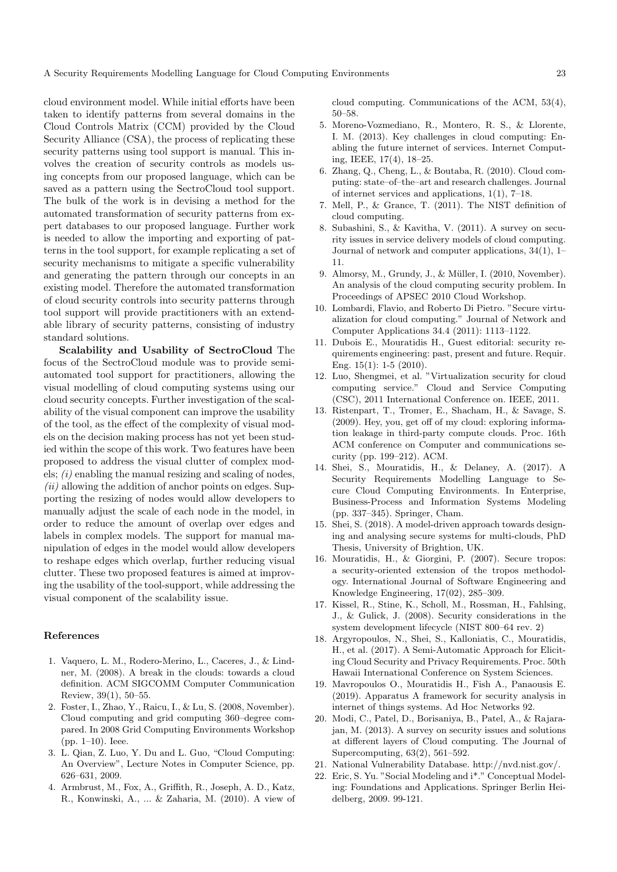A Security Requirements Modelling Language for Cloud Computing Environments 23

cloud environment model. While initial efforts have been taken to identify patterns from several domains in the Cloud Controls Matrix (CCM) provided by the Cloud Security Alliance (CSA), the process of replicating these security patterns using tool support is manual. This involves the creation of security controls as models using concepts from our proposed language, which can be saved as a pattern using the SectroCloud tool support. The bulk of the work is in devising a method for the automated transformation of security patterns from expert databases to our proposed language. Further work is needed to allow the importing and exporting of patterns in the tool support, for example replicating a set of security mechanisms to mitigate a specific vulnerability and generating the pattern through our concepts in an existing model. Therefore the automated transformation of cloud security controls into security patterns through tool support will provide practitioners with an extendable library of security patterns, consisting of industry standard solutions.

Scalability and Usability of SectroCloud The focus of the SectroCloud module was to provide semiautomated tool support for practitioners, allowing the visual modelling of cloud computing systems using our cloud security concepts. Further investigation of the scalability of the visual component can improve the usability of the tool, as the effect of the complexity of visual models on the decision making process has not yet been studied within the scope of this work. Two features have been proposed to address the visual clutter of complex models;  $(i)$  enabling the manual resizing and scaling of nodes,  $(ii)$  allowing the addition of anchor points on edges. Supporting the resizing of nodes would allow developers to manually adjust the scale of each node in the model, in order to reduce the amount of overlap over edges and labels in complex models. The support for manual manipulation of edges in the model would allow developers to reshape edges which overlap, further reducing visual clutter. These two proposed features is aimed at improving the usability of the tool-support, while addressing the visual component of the scalability issue.

## References

- 1. Vaquero, L. M., Rodero-Merino, L., Caceres, J., & Lindner, M. (2008). A break in the clouds: towards a cloud definition. ACM SIGCOMM Computer Communication Review, 39(1), 50–55.
- 2. Foster, I., Zhao, Y., Raicu, I., & Lu, S. (2008, November). Cloud computing and grid computing 360–degree compared. In 2008 Grid Computing Environments Workshop (pp. 1–10). Ieee.
- 3. L. Qian, Z. Luo, Y. Du and L. Guo, "Cloud Computing: An Overview", Lecture Notes in Computer Science, pp. 626–631, 2009.
- 4. Armbrust, M., Fox, A., Griffith, R., Joseph, A. D., Katz, R., Konwinski, A., ... & Zaharia, M. (2010). A view of

cloud computing. Communications of the ACM, 53(4), 50–58.

- 5. Moreno-Vozmediano, R., Montero, R. S., & Llorente, I. M. (2013). Key challenges in cloud computing: Enabling the future internet of services. Internet Computing, IEEE, 17(4), 18–25.
- 6. Zhang, Q., Cheng, L., & Boutaba, R. (2010). Cloud computing: state–of–the–art and research challenges. Journal of internet services and applications, 1(1), 7–18.
- 7. Mell, P., & Grance, T. (2011). The NIST definition of cloud computing.
- 8. Subashini, S., & Kavitha, V. (2011). A survey on security issues in service delivery models of cloud computing. Journal of network and computer applications, 34(1), 1– 11.
- 9. Almorsy, M., Grundy, J., & Müller, I. (2010, November). An analysis of the cloud computing security problem. In Proceedings of APSEC 2010 Cloud Workshop.
- 10. Lombardi, Flavio, and Roberto Di Pietro. "Secure virtualization for cloud computing." Journal of Network and Computer Applications 34.4 (2011): 1113–1122.
- 11. Dubois E., Mouratidis H., Guest editorial: security requirements engineering: past, present and future. Requir. Eng.  $15(1)$ : 1-5  $(2010)$ .
- 12. Luo, Shengmei, et al. "Virtualization security for cloud computing service." Cloud and Service Computing (CSC), 2011 International Conference on. IEEE, 2011.
- 13. Ristenpart, T., Tromer, E., Shacham, H., & Savage, S. (2009). Hey, you, get off of my cloud: exploring information leakage in third-party compute clouds. Proc. 16th ACM conference on Computer and communications security (pp. 199–212). ACM.
- 14. Shei, S., Mouratidis, H., & Delaney, A. (2017). A Security Requirements Modelling Language to Secure Cloud Computing Environments. In Enterprise, Business-Process and Information Systems Modeling (pp. 337–345). Springer, Cham.
- 15. Shei, S. (2018). A model-driven approach towards designing and analysing secure systems for multi-clouds, PhD Thesis, University of Brightion, UK.
- 16. Mouratidis, H., & Giorgini, P. (2007). Secure tropos: a security-oriented extension of the tropos methodology. International Journal of Software Engineering and Knowledge Engineering, 17(02), 285–309.
- 17. Kissel, R., Stine, K., Scholl, M., Rossman, H., Fahlsing, J., & Gulick, J. (2008). Security considerations in the system development lifecycle (NIST 800–64 rev. 2)
- 18. Argyropoulos, N., Shei, S., Kalloniatis, C., Mouratidis, H., et al. (2017). A Semi-Automatic Approach for Eliciting Cloud Security and Privacy Requirements. Proc. 50th Hawaii International Conference on System Sciences.
- 19. Mavropoulos O., Mouratidis H., Fish A., Panaousis E. (2019). Apparatus A framework for security analysis in internet of things systems. Ad Hoc Networks 92.
- 20. Modi, C., Patel, D., Borisaniya, B., Patel, A., & Rajarajan, M. (2013). A survey on security issues and solutions at different layers of Cloud computing. The Journal of Supercomputing, 63(2), 561–592.
- 21. National Vulnerability Database. http://nvd.nist.gov/.
- 22. Eric, S. Yu. "Social Modeling and i\*." Conceptual Modeling: Foundations and Applications. Springer Berlin Heidelberg, 2009. 99-121.